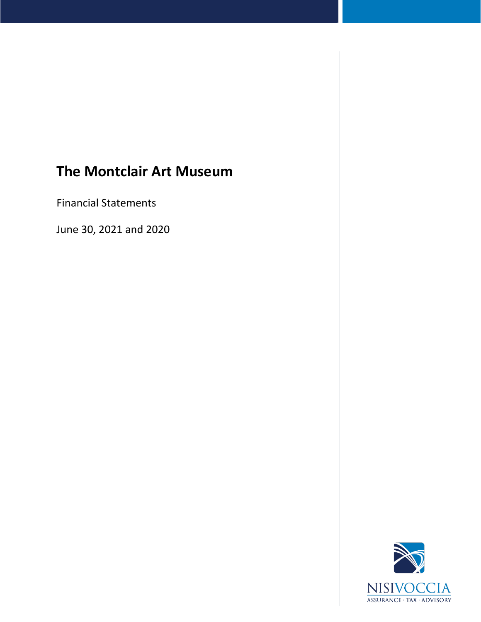# **The Montclair Art Museum**

Financial Statements

June 30, 2021 and 2020

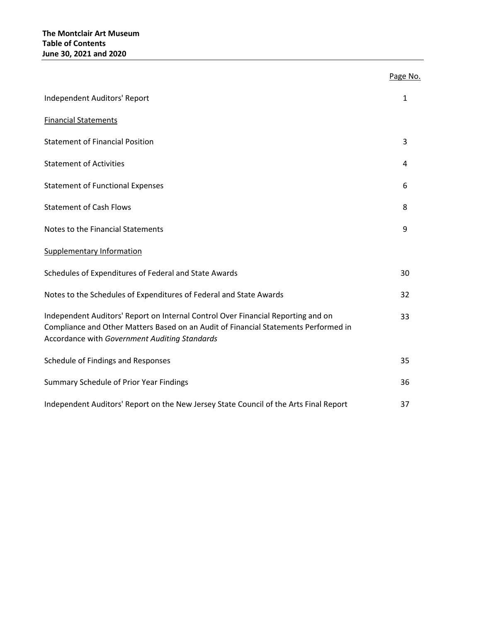|                                                                                                                                                                                                                          | Page No. |
|--------------------------------------------------------------------------------------------------------------------------------------------------------------------------------------------------------------------------|----------|
| Independent Auditors' Report                                                                                                                                                                                             | 1        |
| <b>Financial Statements</b>                                                                                                                                                                                              |          |
| <b>Statement of Financial Position</b>                                                                                                                                                                                   | 3        |
| <b>Statement of Activities</b>                                                                                                                                                                                           | 4        |
| <b>Statement of Functional Expenses</b>                                                                                                                                                                                  | 6        |
| <b>Statement of Cash Flows</b>                                                                                                                                                                                           | 8        |
| Notes to the Financial Statements                                                                                                                                                                                        | 9        |
| <b>Supplementary Information</b>                                                                                                                                                                                         |          |
| Schedules of Expenditures of Federal and State Awards                                                                                                                                                                    | 30       |
| Notes to the Schedules of Expenditures of Federal and State Awards                                                                                                                                                       | 32       |
| Independent Auditors' Report on Internal Control Over Financial Reporting and on<br>Compliance and Other Matters Based on an Audit of Financial Statements Performed in<br>Accordance with Government Auditing Standards | 33       |
| Schedule of Findings and Responses                                                                                                                                                                                       | 35       |
| Summary Schedule of Prior Year Findings                                                                                                                                                                                  | 36       |
| Independent Auditors' Report on the New Jersey State Council of the Arts Final Report                                                                                                                                    | 37       |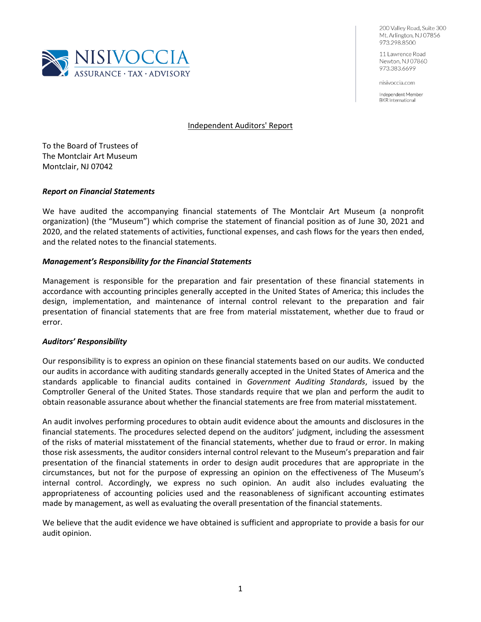

200 Valley Road, Suite 300 Mt. Arlington, NJ 07856 973.298.8500

11 Lawrence Road Newton, NJ 07860 973.383.6699

nisivoccia.com

Independent Member **BKR** International

# Independent Auditors' Report

To the Board of Trustees of The Montclair Art Museum Montclair, NJ 07042

## *Report on Financial Statements*

We have audited the accompanying financial statements of The Montclair Art Museum (a nonprofit organization) (the "Museum") which comprise the statement of financial position as of June 30, 2021 and 2020, and the related statements of activities, functional expenses, and cash flows for the years then ended, and the related notes to the financial statements.

# *Management's Responsibility for the Financial Statements*

Management is responsible for the preparation and fair presentation of these financial statements in accordance with accounting principles generally accepted in the United States of America; this includes the design, implementation, and maintenance of internal control relevant to the preparation and fair presentation of financial statements that are free from material misstatement, whether due to fraud or error.

# *Auditors' Responsibility*

Our responsibility is to express an opinion on these financial statements based on our audits. We conducted our audits in accordance with auditing standards generally accepted in the United States of America and the standards applicable to financial audits contained in *Government Auditing Standards*, issued by the Comptroller General of the United States. Those standards require that we plan and perform the audit to obtain reasonable assurance about whether the financial statements are free from material misstatement.

An audit involves performing procedures to obtain audit evidence about the amounts and disclosures in the financial statements. The procedures selected depend on the auditors' judgment, including the assessment of the risks of material misstatement of the financial statements, whether due to fraud or error. In making those risk assessments, the auditor considers internal control relevant to the Museum's preparation and fair presentation of the financial statements in order to design audit procedures that are appropriate in the circumstances, but not for the purpose of expressing an opinion on the effectiveness of The Museum's internal control. Accordingly, we express no such opinion. An audit also includes evaluating the appropriateness of accounting policies used and the reasonableness of significant accounting estimates made by management, as well as evaluating the overall presentation of the financial statements.

We believe that the audit evidence we have obtained is sufficient and appropriate to provide a basis for our audit opinion.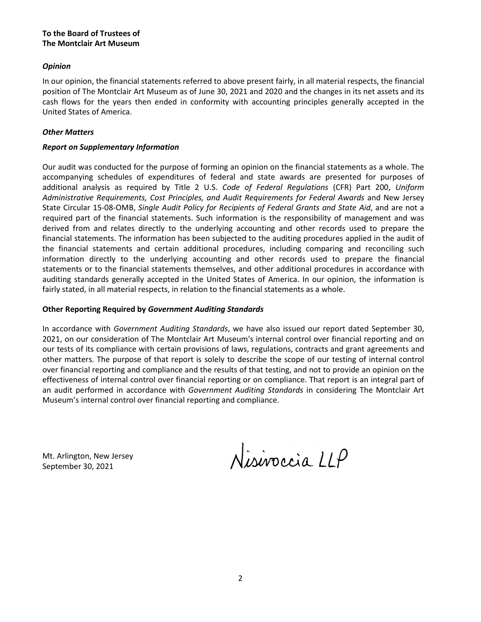# **To the Board of Trustees of The Montclair Art Museum**

# *Opinion*

In our opinion, the financial statements referred to above present fairly, in all material respects, the financial position of The Montclair Art Museum as of June 30, 2021 and 2020 and the changes in its net assets and its cash flows for the years then ended in conformity with accounting principles generally accepted in the United States of America.

# *Other Matters*

# *Report on Supplementary Information*

Our audit was conducted for the purpose of forming an opinion on the financial statements as a whole. The accompanying schedules of expenditures of federal and state awards are presented for purposes of additional analysis as required by Title 2 U.S. *Code of Federal Regulations* (CFR) Part 200, *Uniform Administrative Requirements, Cost Principles, and Audit Requirements for Federal Awards* and New Jersey State Circular 15-08-OMB, *Single Audit Policy for Recipients of Federal Grants and State Aid*, and are not a required part of the financial statements. Such information is the responsibility of management and was derived from and relates directly to the underlying accounting and other records used to prepare the financial statements. The information has been subjected to the auditing procedures applied in the audit of the financial statements and certain additional procedures, including comparing and reconciling such information directly to the underlying accounting and other records used to prepare the financial statements or to the financial statements themselves, and other additional procedures in accordance with auditing standards generally accepted in the United States of America. In our opinion, the information is fairly stated, in all material respects, in relation to the financial statements as a whole.

# **Other Reporting Required by** *Government Auditing Standards*

In accordance with *Government Auditing Standards*, we have also issued our report dated September 30, 2021, on our consideration of The Montclair Art Museum's internal control over financial reporting and on our tests of its compliance with certain provisions of laws, regulations, contracts and grant agreements and other matters. The purpose of that report is solely to describe the scope of our testing of internal control over financial reporting and compliance and the results of that testing, and not to provide an opinion on the effectiveness of internal control over financial reporting or on compliance. That report is an integral part of an audit performed in accordance with *Government Auditing Standards* in considering The Montclair Art Museum's internal control over financial reporting and compliance.

Mt. Arlington, New Jersey September 30, 2021

Nisivoccia 11P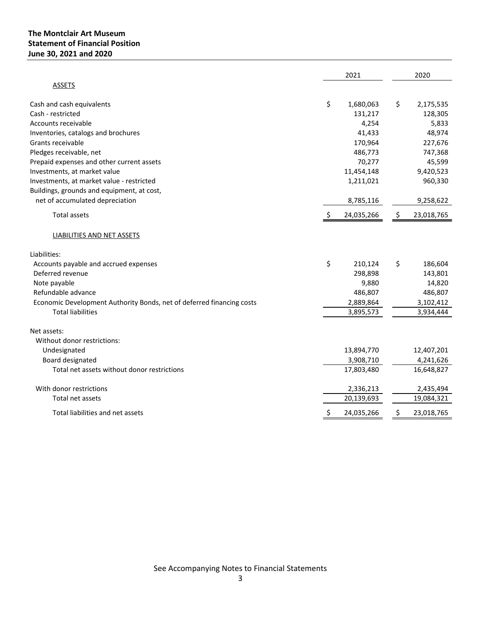|                                                                       |     | 2021       |     | 2020       |
|-----------------------------------------------------------------------|-----|------------|-----|------------|
| <b>ASSETS</b>                                                         |     |            |     |            |
| Cash and cash equivalents                                             | \$  | 1,680,063  | \$  | 2,175,535  |
| Cash - restricted                                                     |     | 131,217    |     | 128,305    |
| Accounts receivable                                                   |     | 4,254      |     | 5,833      |
| Inventories, catalogs and brochures                                   |     | 41,433     |     | 48,974     |
| Grants receivable                                                     |     | 170,964    |     | 227,676    |
| Pledges receivable, net                                               |     | 486,773    |     | 747,368    |
| Prepaid expenses and other current assets                             |     | 70,277     |     | 45,599     |
| Investments, at market value                                          |     | 11,454,148 |     | 9,420,523  |
| Investments, at market value - restricted                             |     | 1,211,021  |     | 960,330    |
| Buildings, grounds and equipment, at cost,                            |     |            |     |            |
| net of accumulated depreciation                                       |     | 8,785,116  |     | 9,258,622  |
| Total assets                                                          |     | 24,035,266 | -\$ | 23,018,765 |
| <b>LIABILITIES AND NET ASSETS</b>                                     |     |            |     |            |
| Liabilities:                                                          |     |            |     |            |
| Accounts payable and accrued expenses                                 | \$  | 210,124    | \$  | 186,604    |
| Deferred revenue                                                      |     | 298,898    |     | 143,801    |
| Note payable                                                          |     | 9,880      |     | 14,820     |
| Refundable advance                                                    |     | 486,807    |     | 486,807    |
| Economic Development Authority Bonds, net of deferred financing costs |     | 2,889,864  |     | 3,102,412  |
| <b>Total liabilities</b>                                              |     | 3,895,573  |     | 3,934,444  |
| Net assets:                                                           |     |            |     |            |
| Without donor restrictions:                                           |     |            |     |            |
| Undesignated                                                          |     | 13,894,770 |     | 12,407,201 |
| Board designated                                                      |     | 3,908,710  |     | 4,241,626  |
| Total net assets without donor restrictions                           |     | 17,803,480 |     | 16,648,827 |
| With donor restrictions                                               |     | 2,336,213  |     | 2,435,494  |
| Total net assets                                                      |     | 20,139,693 |     | 19,084,321 |
| Total liabilities and net assets                                      | \$. | 24,035,266 | \$  | 23,018,765 |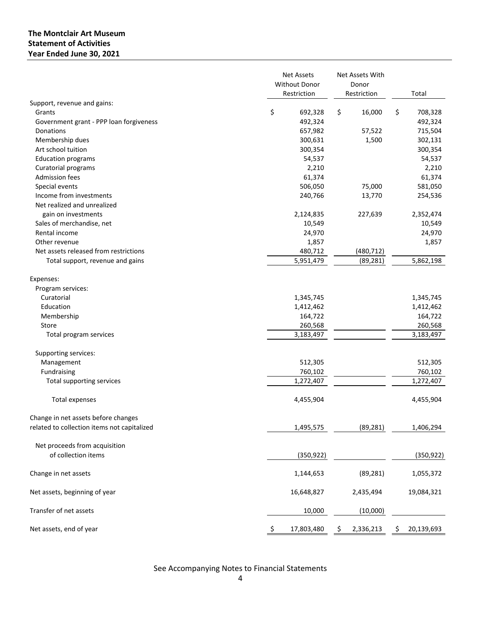# **The Montclair Art Museum Statement of Activities Year Ended June 30, 2021**

|                                             | <b>Net Assets</b><br>Without Donor<br>Restriction | Net Assets With<br>Donor<br>Restriction | Total             |
|---------------------------------------------|---------------------------------------------------|-----------------------------------------|-------------------|
| Support, revenue and gains:                 |                                                   |                                         |                   |
| Grants                                      | \$<br>692,328                                     | \$<br>16,000                            | \$<br>708,328     |
| Government grant - PPP loan forgiveness     | 492,324                                           |                                         | 492,324           |
| Donations                                   | 657,982                                           | 57,522                                  | 715,504           |
| Membership dues                             | 300,631                                           | 1,500                                   | 302,131           |
| Art school tuition                          | 300,354                                           |                                         | 300,354           |
| <b>Education programs</b>                   | 54,537                                            |                                         | 54,537            |
| Curatorial programs                         | 2,210                                             |                                         | 2,210             |
| Admission fees                              | 61,374                                            |                                         | 61,374            |
| Special events                              | 506,050                                           | 75,000                                  | 581,050           |
| Income from investments                     | 240,766                                           | 13,770                                  | 254,536           |
| Net realized and unrealized                 |                                                   |                                         |                   |
| gain on investments                         | 2,124,835                                         | 227,639                                 | 2,352,474         |
| Sales of merchandise, net                   | 10,549                                            |                                         | 10,549            |
| Rental income                               | 24,970                                            |                                         | 24,970            |
| Other revenue                               | 1,857                                             |                                         | 1,857             |
| Net assets released from restrictions       | 480,712                                           | (480, 712)                              |                   |
| Total support, revenue and gains            | 5,951,479                                         | (89, 281)                               | 5,862,198         |
| Expenses:                                   |                                                   |                                         |                   |
| Program services:                           |                                                   |                                         |                   |
| Curatorial                                  | 1,345,745                                         |                                         | 1,345,745         |
| Education                                   | 1,412,462                                         |                                         | 1,412,462         |
| Membership                                  | 164,722                                           |                                         | 164,722           |
| Store                                       | 260,568                                           |                                         | 260,568           |
| Total program services                      | 3,183,497                                         |                                         | 3,183,497         |
| Supporting services:                        |                                                   |                                         |                   |
| Management                                  | 512,305                                           |                                         | 512,305           |
| Fundraising                                 | 760,102                                           |                                         | 760,102           |
| Total supporting services                   | 1,272,407                                         |                                         | 1,272,407         |
| <b>Total expenses</b>                       | 4,455,904                                         |                                         | 4,455,904         |
| Change in net assets before changes         |                                                   |                                         |                   |
| related to collection items not capitalized | 1,495,575                                         | (89, 281)                               | 1,406,294         |
| Net proceeds from acquisition               |                                                   |                                         |                   |
| of collection items                         | (350, 922)                                        |                                         | (350, 922)        |
| Change in net assets                        | 1,144,653                                         | (89, 281)                               | 1,055,372         |
| Net assets, beginning of year               | 16,648,827                                        | 2,435,494                               | 19,084,321        |
| Transfer of net assets                      | 10,000                                            | (10,000)                                |                   |
| Net assets, end of year                     | 17,803,480<br>\$                                  | 2,336,213<br>S                          | 20,139,693<br>\$. |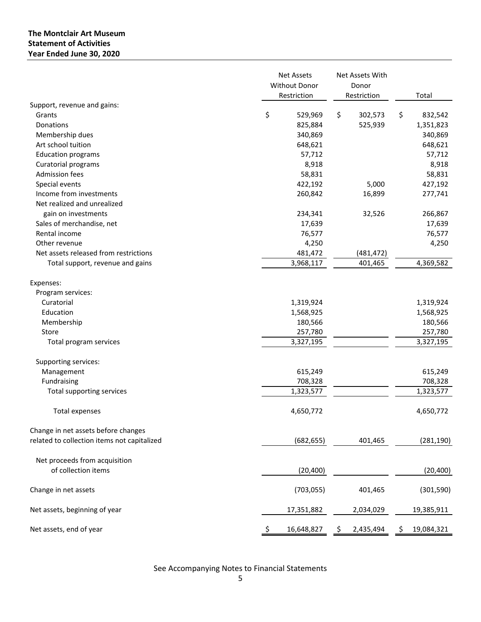# **The Montclair Art Museum Statement of Activities Year Ended June 30, 2020**

|                                                      |    | <b>Net Assets</b><br>Without Donor<br>Restriction |    | Net Assets With<br>Donor<br>Restriction |    | Total      |  |
|------------------------------------------------------|----|---------------------------------------------------|----|-----------------------------------------|----|------------|--|
| Support, revenue and gains:                          |    |                                                   |    |                                         |    |            |  |
| Grants                                               | \$ | 529,969                                           | \$ | 302,573                                 | \$ | 832,542    |  |
| Donations                                            |    | 825,884                                           |    | 525,939                                 |    | 1,351,823  |  |
| Membership dues                                      |    | 340,869                                           |    |                                         |    | 340,869    |  |
| Art school tuition                                   |    | 648,621                                           |    |                                         |    | 648,621    |  |
| <b>Education programs</b>                            |    | 57,712                                            |    |                                         |    | 57,712     |  |
| Curatorial programs                                  |    | 8,918                                             |    |                                         |    | 8,918      |  |
| <b>Admission fees</b>                                |    | 58,831                                            |    |                                         |    | 58,831     |  |
| Special events                                       |    | 422,192                                           |    | 5,000                                   |    | 427,192    |  |
| Income from investments                              |    | 260,842                                           |    | 16,899                                  |    | 277,741    |  |
| Net realized and unrealized                          |    |                                                   |    |                                         |    |            |  |
| gain on investments                                  |    | 234,341                                           |    | 32,526                                  |    | 266,867    |  |
| Sales of merchandise, net                            |    | 17,639                                            |    |                                         |    | 17,639     |  |
| Rental income                                        |    | 76,577                                            |    |                                         |    | 76,577     |  |
| Other revenue                                        |    | 4,250                                             |    |                                         |    | 4,250      |  |
| Net assets released from restrictions                |    | 481,472                                           |    | (481, 472)                              |    |            |  |
| Total support, revenue and gains                     |    | 3,968,117                                         |    | 401,465                                 |    | 4,369,582  |  |
| Expenses:                                            |    |                                                   |    |                                         |    |            |  |
| Program services:                                    |    |                                                   |    |                                         |    |            |  |
| Curatorial                                           |    | 1,319,924                                         |    |                                         |    | 1,319,924  |  |
| Education                                            |    | 1,568,925                                         |    |                                         |    | 1,568,925  |  |
| Membership                                           |    | 180,566                                           |    |                                         |    | 180,566    |  |
| Store                                                |    | 257,780                                           |    |                                         |    | 257,780    |  |
| Total program services                               |    | 3,327,195                                         |    |                                         |    | 3,327,195  |  |
| Supporting services:                                 |    |                                                   |    |                                         |    |            |  |
| Management                                           |    | 615,249                                           |    |                                         |    | 615,249    |  |
| Fundraising                                          |    | 708,328                                           |    |                                         |    | 708,328    |  |
| Total supporting services                            |    | 1,323,577                                         |    |                                         |    | 1,323,577  |  |
| <b>Total expenses</b>                                |    | 4,650,772                                         |    |                                         |    | 4,650,772  |  |
| Change in net assets before changes                  |    |                                                   |    |                                         |    |            |  |
| related to collection items not capitalized          |    | (682, 655)                                        |    | 401,465                                 |    | (281, 190) |  |
| Net proceeds from acquisition<br>of collection items |    | (20, 400)                                         |    |                                         |    | (20, 400)  |  |
| Change in net assets                                 |    | (703, 055)                                        |    | 401,465                                 |    | (301, 590) |  |
| Net assets, beginning of year                        |    | 17,351,882                                        |    | 2,034,029                               |    | 19,385,911 |  |
| Net assets, end of year                              | Ş  | 16,648,827                                        | \$ | 2,435,494                               | Ş  | 19,084,321 |  |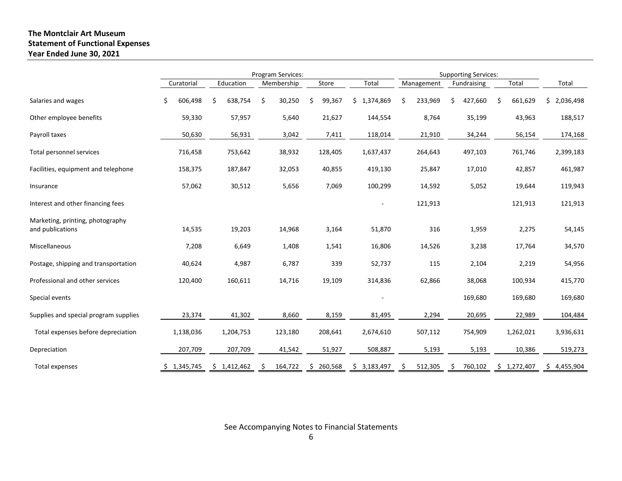# **The Montclair Art Museum Statement of Functional Expenses Year Ended June 30, 2021**

|                                                      |     |            |    |             |     | Program Services: |   |           |             | <b>Supporting Services:</b> |            |     |             |    |             |                 |
|------------------------------------------------------|-----|------------|----|-------------|-----|-------------------|---|-----------|-------------|-----------------------------|------------|-----|-------------|----|-------------|-----------------|
|                                                      |     | Curatorial |    | Education   |     | Membership        |   | Store     | Total       |                             | Management |     | Fundraising |    | Total       | Total           |
| Salaries and wages                                   | \$  | 606,498    | Ś. | 638,754     | \$  | 30,250            | Ś | 99,367    | \$1,374,869 | Ś.                          | 233,969    | Ś.  | 427,660     | Ś. | 661,629     | \$<br>2,036,498 |
| Other employee benefits                              |     | 59,330     |    | 57,957      |     | 5,640             |   | 21,627    | 144,554     |                             | 8,764      |     | 35,199      |    | 43,963      | 188,517         |
| Payroll taxes                                        |     | 50,630     |    | 56,931      |     | 3,042             |   | 7,411     | 118,014     |                             | 21,910     |     | 34,244      |    | 56,154      | 174,168         |
| Total personnel services                             |     | 716,458    |    | 753,642     |     | 38,932            |   | 128,405   | 1,637,437   |                             | 264,643    |     | 497,103     |    | 761,746     | 2,399,183       |
| Facilities, equipment and telephone                  |     | 158,375    |    | 187,847     |     | 32,053            |   | 40,855    | 419,130     |                             | 25,847     |     | 17,010      |    | 42,857      | 461,987         |
| Insurance                                            |     | 57,062     |    | 30,512      |     | 5,656             |   | 7,069     | 100,299     |                             | 14,592     |     | 5,052       |    | 19,644      | 119,943         |
| Interest and other financing fees                    |     |            |    |             |     |                   |   |           |             |                             | 121,913    |     |             |    | 121,913     | 121,913         |
| Marketing, printing, photography<br>and publications |     | 14,535     |    | 19,203      |     | 14,968            |   | 3,164     | 51,870      |                             | 316        |     | 1,959       |    | 2,275       | 54,145          |
| Miscellaneous                                        |     | 7,208      |    | 6,649       |     | 1,408             |   | 1,541     | 16,806      |                             | 14,526     |     | 3,238       |    | 17,764      | 34,570          |
| Postage, shipping and transportation                 |     | 40,624     |    | 4,987       |     | 6,787             |   | 339       | 52,737      |                             | 115        |     | 2,104       |    | 2,219       | 54,956          |
| Professional and other services                      |     | 120,400    |    | 160,611     |     | 14,716            |   | 19,109    | 314,836     |                             | 62,866     |     | 38,068      |    | 100,934     | 415,770         |
| Special events                                       |     |            |    |             |     |                   |   |           |             |                             |            |     | 169,680     |    | 169,680     | 169,680         |
| Supplies and special program supplies                |     | 23,374     |    | 41,302      |     | 8,660             |   | 8,159     | 81,495      |                             | 2,294      |     | 20,695      |    | 22,989      | 104,484         |
| Total expenses before depreciation                   |     | 1,138,036  |    | 1,204,753   |     | 123,180           |   | 208,641   | 2,674,610   |                             | 507,112    |     | 754,909     |    | 1,262,021   | 3,936,631       |
| Depreciation                                         |     | 207,709    |    | 207,709     |     | 41,542            |   | 51,927    | 508,887     |                             | 5,193      |     | 5,193       |    | 10,386      | 519,273         |
| Total expenses                                       | \$. | 1,345,745  |    | \$1,412,462 | \$. | 164,722           |   | \$260,568 | \$3,183,497 |                             | 512,305    | \$. | 760,102     |    | \$1,272,407 | \$4,455,904     |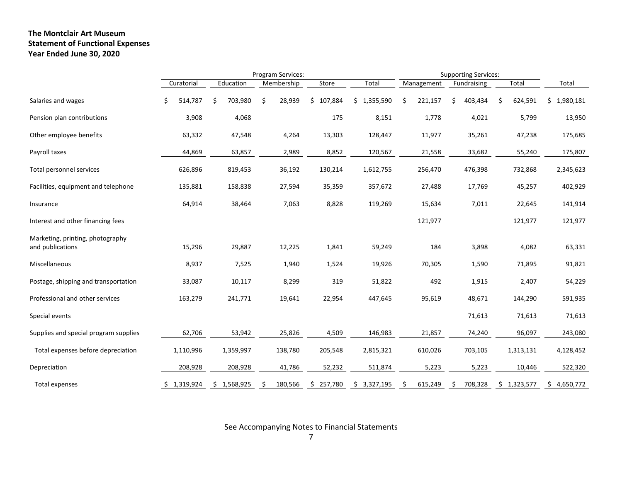# **The Montclair Art Museum Statement of Functional Expenses Year Ended June 30, 2020**

|                                                      | <b>Program Services:</b> |               |               |               |             | <b>Supporting Services:</b> |               |               |                 |
|------------------------------------------------------|--------------------------|---------------|---------------|---------------|-------------|-----------------------------|---------------|---------------|-----------------|
|                                                      | Curatorial               | Education     | Membership    | Store         | Total       | Management                  | Fundraising   | Total         | Total           |
| Salaries and wages                                   | \$<br>514,787            | 703,980<br>\$ | \$<br>28,939  | \$107,884     | \$1,355,590 | \$<br>221,157               | \$<br>403,434 | 624,591<br>\$ | 1,980,181<br>\$ |
| Pension plan contributions                           | 3,908                    | 4,068         |               | 175           | 8,151       | 1,778                       | 4,021         | 5,799         | 13,950          |
| Other employee benefits                              | 63,332                   | 47,548        | 4,264         | 13,303        | 128,447     | 11,977                      | 35,261        | 47,238        | 175,685         |
| Payroll taxes                                        | 44,869                   | 63,857        | 2,989         | 8,852         | 120,567     | 21,558                      | 33,682        | 55,240        | 175,807         |
| Total personnel services                             | 626,896                  | 819,453       | 36,192        | 130,214       | 1,612,755   | 256,470                     | 476,398       | 732,868       | 2,345,623       |
| Facilities, equipment and telephone                  | 135,881                  | 158,838       | 27,594        | 35,359        | 357,672     | 27,488                      | 17,769        | 45,257        | 402,929         |
| Insurance                                            | 64,914                   | 38,464        | 7,063         | 8,828         | 119,269     | 15,634                      | 7,011         | 22,645        | 141,914         |
| Interest and other financing fees                    |                          |               |               |               |             | 121,977                     |               | 121,977       | 121,977         |
| Marketing, printing, photography<br>and publications | 15,296                   | 29,887        | 12,225        | 1,841         | 59,249      | 184                         | 3,898         | 4,082         | 63,331          |
| Miscellaneous                                        | 8,937                    | 7,525         | 1,940         | 1,524         | 19,926      | 70,305                      | 1,590         | 71,895        | 91,821          |
| Postage, shipping and transportation                 | 33,087                   | 10,117        | 8,299         | 319           | 51,822      | 492                         | 1,915         | 2,407         | 54,229          |
| Professional and other services                      | 163,279                  | 241,771       | 19,641        | 22,954        | 447,645     | 95,619                      | 48,671        | 144,290       | 591,935         |
| Special events                                       |                          |               |               |               |             |                             | 71,613        | 71,613        | 71,613          |
| Supplies and special program supplies                | 62,706                   | 53,942        | 25,826        | 4,509         | 146,983     | 21,857                      | 74,240        | 96,097        | 243,080         |
| Total expenses before depreciation                   | 1,110,996                | 1,359,997     | 138,780       | 205,548       | 2,815,321   | 610,026                     | 703,105       | 1,313,131     | 4,128,452       |
| Depreciation                                         | 208,928                  | 208,928       | 41,786        | 52,232        | 511,874     | 5,223                       | 5,223         | 10,446        | 522,320         |
| Total expenses                                       | \$1,319,924              | \$1,568,925   | 180,566<br>\$ | 257,780<br>\$ | \$3,327,195 | 615,249<br>Ş                | 708,328<br>Ş  | \$1,323,577   | \$4,650,772     |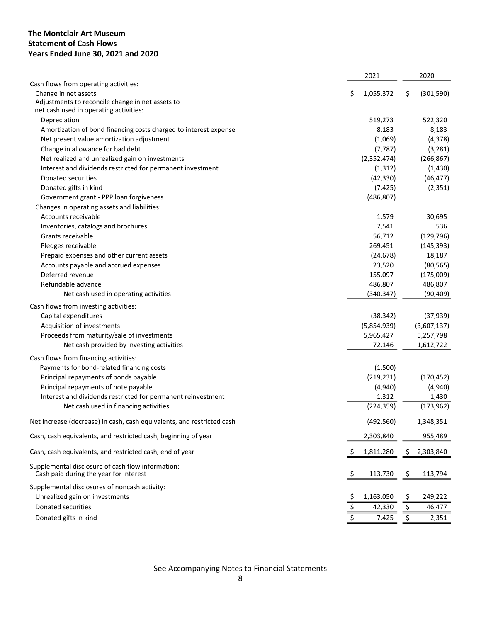# **The Montclair Art Museum Statement of Cash Flows Years Ended June 30, 2021 and 2020**

|                                                                                             | 2021                                | 2020             |
|---------------------------------------------------------------------------------------------|-------------------------------------|------------------|
| Cash flows from operating activities:                                                       |                                     |                  |
| Change in net assets                                                                        | \$<br>1,055,372                     | \$<br>(301, 590) |
| Adjustments to reconcile change in net assets to<br>net cash used in operating activities:  |                                     |                  |
| Depreciation                                                                                |                                     |                  |
| Amortization of bond financing costs charged to interest expense                            | 519,273<br>8,183                    | 522,320<br>8,183 |
|                                                                                             |                                     | (4, 378)         |
| Net present value amortization adjustment                                                   | (1,069)                             |                  |
| Change in allowance for bad debt                                                            | (7, 787)                            | (3, 281)         |
| Net realized and unrealized gain on investments                                             | (2,352,474)                         | (266, 867)       |
| Interest and dividends restricted for permanent investment                                  | (1, 312)                            | (1,430)          |
| Donated securities                                                                          | (42, 330)                           | (46, 477)        |
| Donated gifts in kind                                                                       | (7, 425)                            | (2, 351)         |
| Government grant - PPP loan forgiveness                                                     | (486, 807)                          |                  |
| Changes in operating assets and liabilities:                                                |                                     |                  |
| Accounts receivable                                                                         | 1,579                               | 30,695           |
| Inventories, catalogs and brochures                                                         | 7,541                               | 536              |
| Grants receivable                                                                           | 56,712                              | (129, 796)       |
| Pledges receivable                                                                          | 269,451                             | (145, 393)       |
| Prepaid expenses and other current assets                                                   | (24, 678)                           | 18,187           |
| Accounts payable and accrued expenses                                                       | 23,520                              | (80, 565)        |
| Deferred revenue                                                                            | 155,097                             | (175,009)        |
| Refundable advance                                                                          | 486,807                             | 486,807          |
| Net cash used in operating activities                                                       | (340, 347)                          | (90, 409)        |
| Cash flows from investing activities:                                                       |                                     |                  |
| Capital expenditures                                                                        | (38, 342)                           | (37, 939)        |
| Acquisition of investments                                                                  | (5,854,939)                         | (3,607,137)      |
| Proceeds from maturity/sale of investments                                                  | 5,965,427                           | 5,257,798        |
| Net cash provided by investing activities                                                   | 72,146                              | 1,612,722        |
| Cash flows from financing activities:                                                       |                                     |                  |
| Payments for bond-related financing costs                                                   | (1,500)                             |                  |
| Principal repayments of bonds payable                                                       | (219, 231)                          | (170, 452)       |
| Principal repayments of note payable                                                        | (4,940)                             | (4,940)          |
| Interest and dividends restricted for permanent reinvestment                                | 1,312                               | 1,430            |
| Net cash used in financing activities                                                       | (224, 359)                          | (173, 962)       |
|                                                                                             |                                     |                  |
| Net increase (decrease) in cash, cash equivalents, and restricted cash                      | (492, 560)                          | 1,348,351        |
| Cash, cash equivalents, and restricted cash, beginning of year                              | 2,303,840                           | 955,489          |
| Cash, cash equivalents, and restricted cash, end of year                                    | 1,811,280<br>-\$                    | 2,303,840<br>S   |
| Supplemental disclosure of cash flow information:<br>Cash paid during the year for interest | \$<br>113,730                       | 113,794<br>Ş     |
| Supplemental disclosures of noncash activity:                                               |                                     |                  |
| Unrealized gain on investments                                                              | 1,163,050                           | 249,222          |
| Donated securities                                                                          | $\boldsymbol{\mathsf{S}}$<br>42,330 | \$<br>46,477     |
| Donated gifts in kind                                                                       | \$<br>7,425                         | \$<br>2,351      |
|                                                                                             |                                     |                  |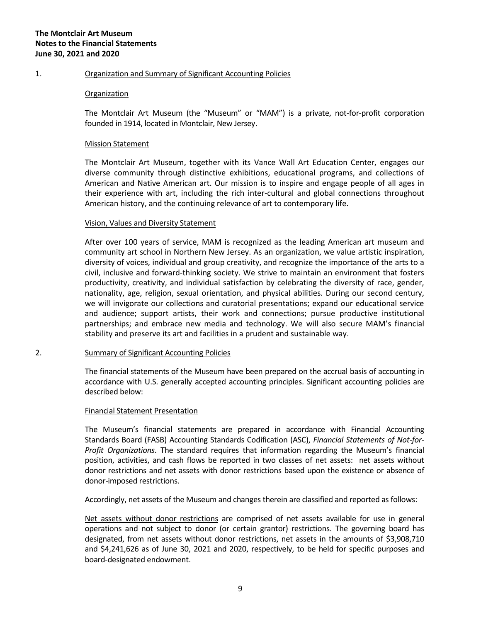#### 1. Organization and Summary of Significant Accounting Policies

#### **Organization**

The Montclair Art Museum (the "Museum" or "MAM") is a private, not-for-profit corporation founded in 1914, located in Montclair, New Jersey.

#### Mission Statement

The Montclair Art Museum, together with its Vance Wall Art Education Center, engages our diverse community through distinctive exhibitions, educational programs, and collections of American and Native American art. Our mission is to inspire and engage people of all ages in their experience with art, including the rich inter-cultural and global connections throughout American history, and the continuing relevance of art to contemporary life.

#### Vision, Values and Diversity Statement

After over 100 years of service, MAM is recognized as the leading American art museum and community art school in Northern New Jersey. As an organization, we value artistic inspiration, diversity of voices, individual and group creativity, and recognize the importance of the arts to a civil, inclusive and forward-thinking society. We strive to maintain an environment that fosters productivity, creativity, and individual satisfaction by celebrating the diversity of race, gender, nationality, age, religion, sexual orientation, and physical abilities. During our second century, we will invigorate our collections and curatorial presentations; expand our educational service and audience; support artists, their work and connections; pursue productive institutional partnerships; and embrace new media and technology. We will also secure MAM's financial stability and preserve its art and facilities in a prudent and sustainable way.

#### 2. Summary of Significant Accounting Policies

The financial statements of the Museum have been prepared on the accrual basis of accounting in accordance with U.S. generally accepted accounting principles. Significant accounting policies are described below:

#### Financial Statement Presentation

The Museum's financial statements are prepared in accordance with Financial Accounting Standards Board (FASB) Accounting Standards Codification (ASC), *Financial Statements of Not-for-Profit Organizations*. The standard requires that information regarding the Museum's financial position, activities, and cash flows be reported in two classes of net assets: net assets without donor restrictions and net assets with donor restrictions based upon the existence or absence of donor-imposed restrictions.

Accordingly, net assets of the Museum and changes therein are classified and reported as follows:

Net assets without donor restrictions are comprised of net assets available for use in general operations and not subject to donor (or certain grantor) restrictions. The governing board has designated, from net assets without donor restrictions, net assets in the amounts of \$3,908,710 and \$4,241,626 as of June 30, 2021 and 2020, respectively, to be held for specific purposes and board-designated endowment.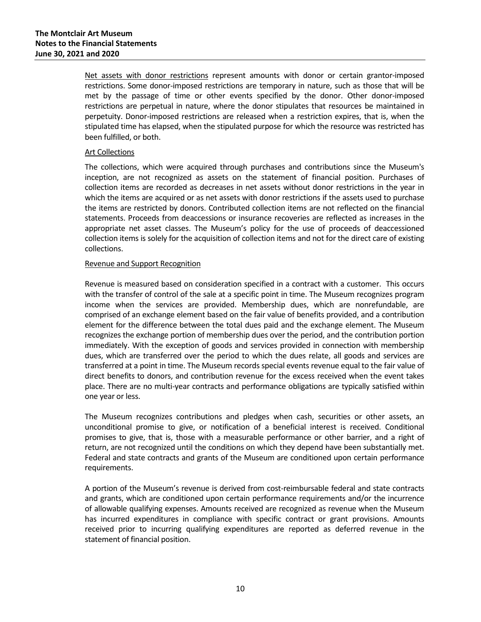Net assets with donor restrictions represent amounts with donor or certain grantor-imposed restrictions. Some donor-imposed restrictions are temporary in nature, such as those that will be met by the passage of time or other events specified by the donor. Other donor-imposed restrictions are perpetual in nature, where the donor stipulates that resources be maintained in perpetuity. Donor-imposed restrictions are released when a restriction expires, that is, when the stipulated time has elapsed, when the stipulated purpose for which the resource was restricted has been fulfilled, or both.

#### Art Collections

The collections, which were acquired through purchases and contributions since the Museum's inception, are not recognized as assets on the statement of financial position. Purchases of collection items are recorded as decreases in net assets without donor restrictions in the year in which the items are acquired or as net assets with donor restrictions if the assets used to purchase the items are restricted by donors. Contributed collection items are not reflected on the financial statements. Proceeds from deaccessions or insurance recoveries are reflected as increases in the appropriate net asset classes. The Museum's policy for the use of proceeds of deaccessioned collection items is solely for the acquisition of collection items and not for the direct care of existing collections.

## Revenue and Support Recognition

Revenue is measured based on consideration specified in a contract with a customer. This occurs with the transfer of control of the sale at a specific point in time. The Museum recognizes program income when the services are provided. Membership dues, which are nonrefundable, are comprised of an exchange element based on the fair value of benefits provided, and a contribution element for the difference between the total dues paid and the exchange element. The Museum recognizes the exchange portion of membership dues over the period, and the contribution portion immediately. With the exception of goods and services provided in connection with membership dues, which are transferred over the period to which the dues relate, all goods and services are transferred at a point in time. The Museum records special events revenue equal to the fair value of direct benefits to donors, and contribution revenue for the excess received when the event takes place. There are no multi-year contracts and performance obligations are typically satisfied within one year or less.

The Museum recognizes contributions and pledges when cash, securities or other assets, an unconditional promise to give, or notification of a beneficial interest is received. Conditional promises to give, that is, those with a measurable performance or other barrier, and a right of return, are not recognized until the conditions on which they depend have been substantially met. Federal and state contracts and grants of the Museum are conditioned upon certain performance requirements.

A portion of the Museum's revenue is derived from cost-reimbursable federal and state contracts and grants, which are conditioned upon certain performance requirements and/or the incurrence of allowable qualifying expenses. Amounts received are recognized as revenue when the Museum has incurred expenditures in compliance with specific contract or grant provisions. Amounts received prior to incurring qualifying expenditures are reported as deferred revenue in the statement of financial position.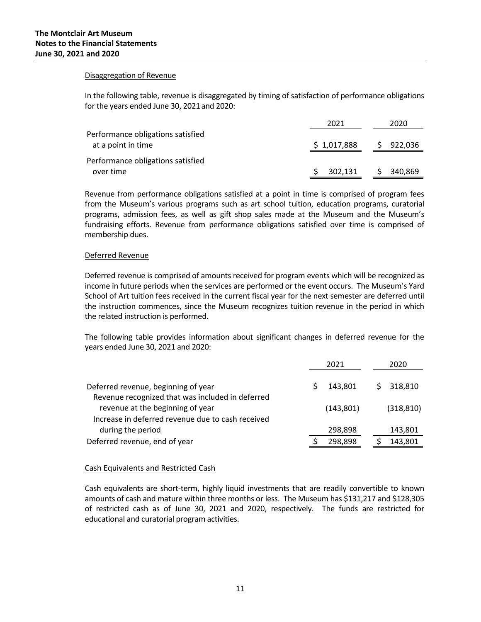#### Disaggregation of Revenue

In the following table, revenue is disaggregated by timing of satisfaction of performance obligations for the years ended June 30, 2021and 2020:

|                                   | 2021        | 2020    |
|-----------------------------------|-------------|---------|
| Performance obligations satisfied |             |         |
| at a point in time                | \$1,017,888 | 922,036 |
| Performance obligations satisfied |             |         |
| over time                         | 302,131     | 340,869 |

Revenue from performance obligations satisfied at a point in time is comprised of program fees from the Museum's various programs such as art school tuition, education programs, curatorial programs, admission fees, as well as gift shop sales made at the Museum and the Museum's fundraising efforts. Revenue from performance obligations satisfied over time is comprised of membership dues.

## Deferred Revenue

Deferred revenue is comprised of amounts received for program events which will be recognized as income in future periods when the services are performed or the event occurs. The Museum's Yard School of Art tuition fees received in the current fiscal year for the next semester are deferred until the instruction commences, since the Museum recognizes tuition revenue in the period in which the related instruction is performed.

The following table provides information about significant changes in deferred revenue for the years ended June 30, 2021 and 2020:

|                                                                                                                                           | 2021 |            |  | 2020 |            |  |
|-------------------------------------------------------------------------------------------------------------------------------------------|------|------------|--|------|------------|--|
| Deferred revenue, beginning of year                                                                                                       |      | 143.801    |  | S.   | 318,810    |  |
| Revenue recognized that was included in deferred<br>revenue at the beginning of year<br>Increase in deferred revenue due to cash received |      | (143, 801) |  |      | (318, 810) |  |
| during the period                                                                                                                         |      | 298,898    |  |      | 143,801    |  |
| Deferred revenue, end of year                                                                                                             |      | 298,898    |  |      | 143,801    |  |

# Cash Equivalents and Restricted Cash

Cash equivalents are short-term, highly liquid investments that are readily convertible to known amounts of cash and mature within three months or less. The Museum has \$131,217 and \$128,305 of restricted cash as of June 30, 2021 and 2020, respectively. The funds are restricted for educational and curatorial program activities.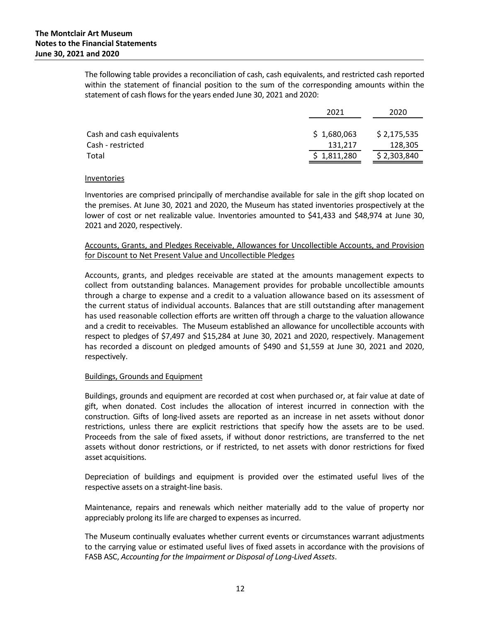The following table provides a reconciliation of cash, cash equivalents, and restricted cash reported within the statement of financial position to the sum of the corresponding amounts within the statement of cash flows for the years ended June 30, 2021 and 2020:

|                           | 2021        | 2020        |
|---------------------------|-------------|-------------|
|                           |             |             |
| Cash and cash equivalents | \$1,680,063 | \$2,175,535 |
| Cash - restricted         | 131,217     | 128,305     |
| Total                     | 1,811,280   | \$2,303,840 |

## Inventories

Inventories are comprised principally of merchandise available for sale in the gift shop located on the premises. At June 30, 2021 and 2020, the Museum has stated inventories prospectively at the lower of cost or net realizable value. Inventories amounted to \$41,433 and \$48,974 at June 30, 2021 and 2020, respectively.

# Accounts, Grants, and Pledges Receivable, Allowances for Uncollectible Accounts, and Provision for Discount to Net Present Value and Uncollectible Pledges

Accounts, grants, and pledges receivable are stated at the amounts management expects to collect from outstanding balances. Management provides for probable uncollectible amounts through a charge to expense and a credit to a valuation allowance based on its assessment of the current status of individual accounts. Balances that are still outstanding after management has used reasonable collection efforts are written off through a charge to the valuation allowance and a credit to receivables. The Museum established an allowance for uncollectible accounts with respect to pledges of \$7,497 and \$15,284 at June 30, 2021 and 2020, respectively. Management has recorded a discount on pledged amounts of \$490 and \$1,559 at June 30, 2021 and 2020, respectively.

# Buildings, Grounds and Equipment

Buildings, grounds and equipment are recorded at cost when purchased or, at fair value at date of gift, when donated. Cost includes the allocation of interest incurred in connection with the construction. Gifts of long-lived assets are reported as an increase in net assets without donor restrictions, unless there are explicit restrictions that specify how the assets are to be used. Proceeds from the sale of fixed assets, if without donor restrictions, are transferred to the net assets without donor restrictions, or if restricted, to net assets with donor restrictions for fixed asset acquisitions.

Depreciation of buildings and equipment is provided over the estimated useful lives of the respective assets on a straight-line basis.

Maintenance, repairs and renewals which neither materially add to the value of property nor appreciably prolong its life are charged to expenses as incurred.

The Museum continually evaluates whether current events or circumstances warrant adjustments to the carrying value or estimated useful lives of fixed assets in accordance with the provisions of FASB ASC, *Accounting for the Impairment or Disposal of Long-Lived Assets*.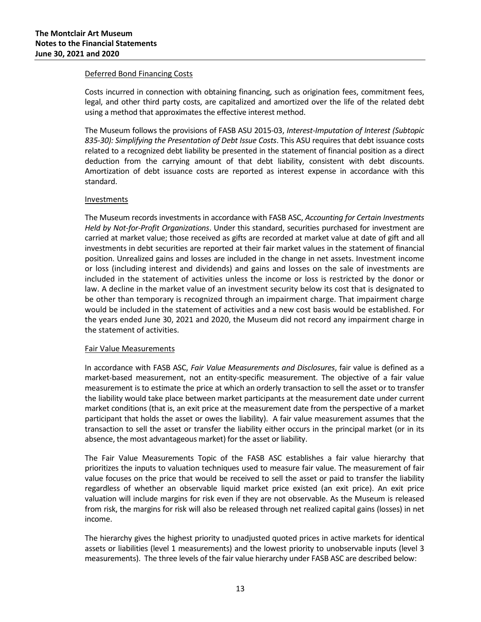## Deferred Bond Financing Costs

Costs incurred in connection with obtaining financing, such as origination fees, commitment fees, legal, and other third party costs, are capitalized and amortized over the life of the related debt using a method that approximates the effective interest method.

The Museum follows the provisions of FASB ASU 2015-03, *Interest-Imputation of Interest (Subtopic 835-30): Simplifying the Presentation of Debt Issue Costs*. This ASU requires that debt issuance costs related to a recognized debt liability be presented in the statement of financial position as a direct deduction from the carrying amount of that debt liability, consistent with debt discounts. Amortization of debt issuance costs are reported as interest expense in accordance with this standard.

# Investments

The Museum records investments in accordance with FASB ASC, *Accounting for Certain Investments Held by Not-for-Profit Organizations*. Under this standard, securities purchased for investment are carried at market value; those received as gifts are recorded at market value at date of gift and all investments in debt securities are reported at their fair market values in the statement of financial position. Unrealized gains and losses are included in the change in net assets. Investment income or loss (including interest and dividends) and gains and losses on the sale of investments are included in the statement of activities unless the income or loss is restricted by the donor or law. A decline in the market value of an investment security below its cost that is designated to be other than temporary is recognized through an impairment charge. That impairment charge would be included in the statement of activities and a new cost basis would be established. For the years ended June 30, 2021 and 2020, the Museum did not record any impairment charge in the statement of activities.

# Fair Value Measurements

In accordance with FASB ASC, *Fair Value Measurements and Disclosures*, fair value is defined as a market-based measurement, not an entity-specific measurement. The objective of a fair value measurement is to estimate the price at which an orderly transaction to sell the asset or to transfer the liability would take place between market participants at the measurement date under current market conditions (that is, an exit price at the measurement date from the perspective of a market participant that holds the asset or owes the liability). A fair value measurement assumes that the transaction to sell the asset or transfer the liability either occurs in the principal market (or in its absence, the most advantageous market) for the asset or liability.

The Fair Value Measurements Topic of the FASB ASC establishes a fair value hierarchy that prioritizes the inputs to valuation techniques used to measure fair value. The measurement of fair value focuses on the price that would be received to sell the asset or paid to transfer the liability regardless of whether an observable liquid market price existed (an exit price). An exit price valuation will include margins for risk even if they are not observable. As the Museum is released from risk, the margins for risk will also be released through net realized capital gains (losses) in net income.

The hierarchy gives the highest priority to unadjusted quoted prices in active markets for identical assets or liabilities (level 1 measurements) and the lowest priority to unobservable inputs (level 3 measurements). The three levels of the fair value hierarchy under FASB ASC are described below: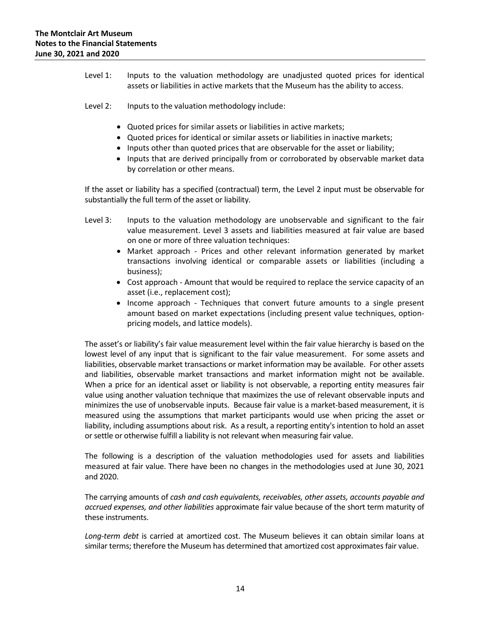- Level 1: Inputs to the valuation methodology are unadjusted quoted prices for identical assets or liabilities in active markets that the Museum has the ability to access.
- Level 2: Inputs to the valuation methodology include:
	- Quoted prices for similar assets or liabilities in active markets;
	- Quoted prices for identical or similar assets or liabilities in inactive markets;
	- Inputs other than quoted prices that are observable for the asset or liability;
	- Inputs that are derived principally from or corroborated by observable market data by correlation or other means.

If the asset or liability has a specified (contractual) term, the Level 2 input must be observable for substantially the full term of the asset or liability.

- Level 3: Inputs to the valuation methodology are unobservable and significant to the fair value measurement. Level 3 assets and liabilities measured at fair value are based on one or more of three valuation techniques:
	- Market approach Prices and other relevant information generated by market transactions involving identical or comparable assets or liabilities (including a business);
	- Cost approach Amount that would be required to replace the service capacity of an asset (i.e., replacement cost);
	- Income approach Techniques that convert future amounts to a single present amount based on market expectations (including present value techniques, optionpricing models, and lattice models).

The asset's or liability's fair value measurement level within the fair value hierarchy is based on the lowest level of any input that is significant to the fair value measurement. For some assets and liabilities, observable market transactions or market information may be available. For other assets and liabilities, observable market transactions and market information might not be available. When a price for an identical asset or liability is not observable, a reporting entity measures fair value using another valuation technique that maximizes the use of relevant observable inputs and minimizes the use of unobservable inputs. Because fair value is a market-based measurement, it is measured using the assumptions that market participants would use when pricing the asset or liability, including assumptions about risk. As a result, a reporting entity's intention to hold an asset or settle or otherwise fulfill a liability is not relevant when measuring fair value.

The following is a description of the valuation methodologies used for assets and liabilities measured at fair value. There have been no changes in the methodologies used at June 30, 2021 and 2020.

The carrying amounts of *cash and cash equivalents, receivables, other assets, accounts payable and accrued expenses, and other liabilities* approximate fair value because of the short term maturity of these instruments.

*Long-term debt* is carried at amortized cost. The Museum believes it can obtain similar loans at similar terms; therefore the Museum has determined that amortized cost approximates fair value.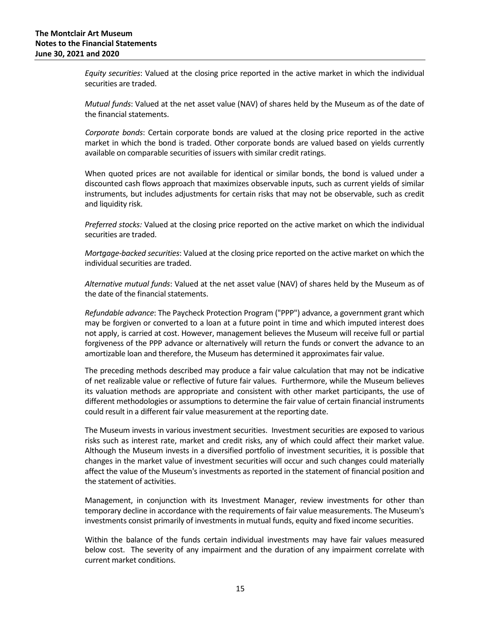*Equity securities*: Valued at the closing price reported in the active market in which the individual securities are traded.

*Mutual funds*: Valued at the net asset value (NAV) of shares held by the Museum as of the date of the financial statements.

 *Corporate bonds*: Certain corporate bonds are valued at the closing price reported in the active market in which the bond is traded. Other corporate bonds are valued based on yields currently available on comparable securities of issuers with similar credit ratings.

When quoted prices are not available for identical or similar bonds, the bond is valued under a discounted cash flows approach that maximizes observable inputs, such as current yields of similar instruments, but includes adjustments for certain risks that may not be observable, such as credit and liquidity risk.

*Preferred stocks:* Valued at the closing price reported on the active market on which the individual securities are traded.

*Mortgage-backed securities*: Valued at the closing price reported on the active market on which the individual securities are traded.

*Alternative mutual funds*: Valued at the net asset value (NAV) of shares held by the Museum as of the date of the financial statements.

*Refundable advance*: The Paycheck Protection Program ("PPP") advance, a government grant which may be forgiven or converted to a loan at a future point in time and which imputed interest does not apply, is carried at cost. However, management believes the Museum will receive full or partial forgiveness of the PPP advance or alternatively will return the funds or convert the advance to an amortizable loan and therefore, the Museum has determined it approximates fair value.

The preceding methods described may produce a fair value calculation that may not be indicative of net realizable value or reflective of future fair values. Furthermore, while the Museum believes its valuation methods are appropriate and consistent with other market participants, the use of different methodologies or assumptions to determine the fair value of certain financial instruments could result in a different fair value measurement at the reporting date.

The Museum invests in various investment securities. Investment securities are exposed to various risks such as interest rate, market and credit risks, any of which could affect their market value. Although the Museum invests in a diversified portfolio of investment securities, it is possible that changes in the market value of investment securities will occur and such changes could materially affect the value of the Museum's investments as reported in the statement of financial position and the statement of activities.

Management, in conjunction with its Investment Manager, review investments for other than temporary decline in accordance with the requirements of fair value measurements. The Museum's investments consist primarily of investments in mutual funds, equity and fixed income securities.

Within the balance of the funds certain individual investments may have fair values measured below cost. The severity of any impairment and the duration of any impairment correlate with current market conditions.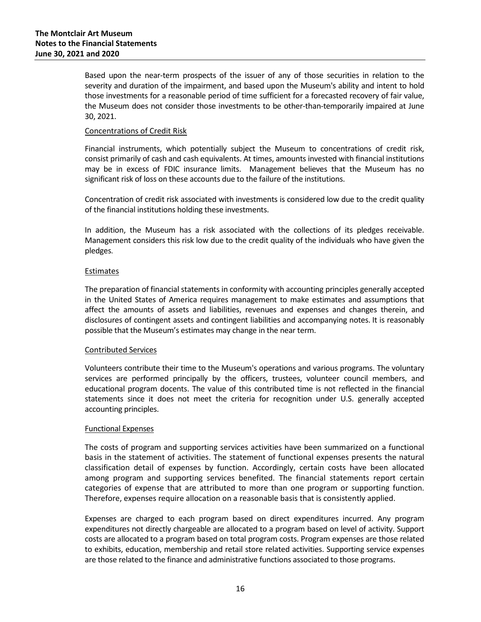Based upon the near-term prospects of the issuer of any of those securities in relation to the severity and duration of the impairment, and based upon the Museum's ability and intent to hold those investments for a reasonable period of time sufficient for a forecasted recovery of fair value, the Museum does not consider those investments to be other-than-temporarily impaired at June 30, 2021.

#### Concentrations of Credit Risk

Financial instruments, which potentially subject the Museum to concentrations of credit risk, consist primarily of cash and cash equivalents. At times, amounts invested with financial institutions may be in excess of FDIC insurance limits. Management believes that the Museum has no significant risk of loss on these accounts due to the failure of the institutions.

Concentration of credit risk associated with investments is considered low due to the credit quality of the financial institutions holding these investments.

In addition, the Museum has a risk associated with the collections of its pledges receivable. Management considers this risk low due to the credit quality of the individuals who have given the pledges.

# **Estimates**

The preparation of financial statements in conformity with accounting principles generally accepted in the United States of America requires management to make estimates and assumptions that affect the amounts of assets and liabilities, revenues and expenses and changes therein, and disclosures of contingent assets and contingent liabilities and accompanying notes. It is reasonably possible that the Museum's estimates may change in the near term.

# Contributed Services

Volunteers contribute their time to the Museum's operations and various programs. The voluntary services are performed principally by the officers, trustees, volunteer council members, and educational program docents. The value of this contributed time is not reflected in the financial statements since it does not meet the criteria for recognition under U.S. generally accepted accounting principles.

# Functional Expenses

The costs of program and supporting services activities have been summarized on a functional basis in the statement of activities. The statement of functional expenses presents the natural classification detail of expenses by function. Accordingly, certain costs have been allocated among program and supporting services benefited. The financial statements report certain categories of expense that are attributed to more than one program or supporting function. Therefore, expenses require allocation on a reasonable basis that is consistently applied.

Expenses are charged to each program based on direct expenditures incurred. Any program expenditures not directly chargeable are allocated to a program based on level of activity. Support costs are allocated to a program based on total program costs. Program expenses are those related to exhibits, education, membership and retail store related activities. Supporting service expenses are those related to the finance and administrative functions associated to those programs.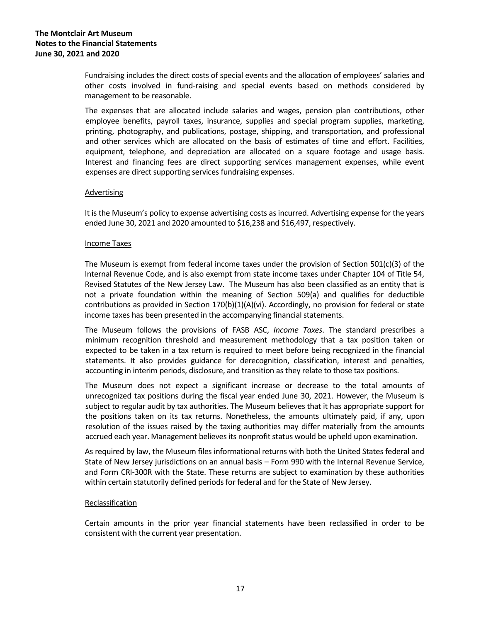Fundraising includes the direct costs of special events and the allocation of employees' salaries and other costs involved in fund-raising and special events based on methods considered by management to be reasonable.

The expenses that are allocated include salaries and wages, pension plan contributions, other employee benefits, payroll taxes, insurance, supplies and special program supplies, marketing, printing, photography, and publications, postage, shipping, and transportation, and professional and other services which are allocated on the basis of estimates of time and effort. Facilities, equipment, telephone, and depreciation are allocated on a square footage and usage basis. Interest and financing fees are direct supporting services management expenses, while event expenses are direct supporting services fundraising expenses.

## Advertising

It is the Museum's policy to expense advertising costs as incurred. Advertising expense for the years ended June 30, 2021 and 2020 amounted to \$16,238 and \$16,497, respectively.

## Income Taxes

The Museum is exempt from federal income taxes under the provision of Section 501(c)(3) of the Internal Revenue Code, and is also exempt from state income taxes under Chapter 104 of Title 54, Revised Statutes of the New Jersey Law. The Museum has also been classified as an entity that is not a private foundation within the meaning of Section 509(a) and qualifies for deductible contributions as provided in Section 170(b)(1)(A)(vi). Accordingly, no provision for federal or state income taxes has been presented in the accompanying financial statements.

The Museum follows the provisions of FASB ASC, *Income Taxes*. The standard prescribes a minimum recognition threshold and measurement methodology that a tax position taken or expected to be taken in a tax return is required to meet before being recognized in the financial statements. It also provides guidance for derecognition, classification, interest and penalties, accounting in interim periods, disclosure, and transition as they relate to those tax positions.

The Museum does not expect a significant increase or decrease to the total amounts of unrecognized tax positions during the fiscal year ended June 30, 2021. However, the Museum is subject to regular audit by tax authorities. The Museum believes that it has appropriate support for the positions taken on its tax returns. Nonetheless, the amounts ultimately paid, if any, upon resolution of the issues raised by the taxing authorities may differ materially from the amounts accrued each year. Management believes its nonprofit status would be upheld upon examination.

As required by law, the Museum files informational returns with both the United States federal and State of New Jersey jurisdictions on an annual basis – Form 990 with the Internal Revenue Service, and Form CRI-300R with the State. These returns are subject to examination by these authorities within certain statutorily defined periods for federal and for the State of New Jersey.

#### Reclassification

Certain amounts in the prior year financial statements have been reclassified in order to be consistent with the current year presentation.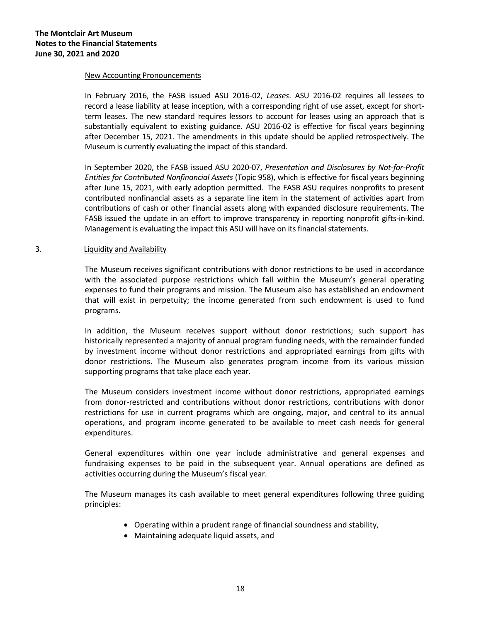#### New Accounting Pronouncements

In February 2016, the FASB issued ASU 2016-02, *Leases*. ASU 2016-02 requires all lessees to record a lease liability at lease inception, with a corresponding right of use asset, except for shortterm leases. The new standard requires lessors to account for leases using an approach that is substantially equivalent to existing guidance. ASU 2016-02 is effective for fiscal years beginning after December 15, 2021. The amendments in this update should be applied retrospectively. The Museum is currently evaluating the impact of this standard.

In September 2020, the FASB issued ASU 2020-07, *Presentation and Disclosures by Not-for-Profit Entities for Contributed Nonfinancial Assets* (Topic 958), which is effective for fiscal years beginning after June 15, 2021, with early adoption permitted. The FASB ASU requires nonprofits to present contributed nonfinancial assets as a separate line item in the statement of activities apart from contributions of cash or other financial assets along with expanded disclosure requirements. The FASB issued the update in an effort to improve transparency in reporting nonprofit gifts-in-kind. Management is evaluating the impact this ASU will have on its financial statements.

#### 3. Liquidity and Availability

The Museum receives significant contributions with donor restrictions to be used in accordance with the associated purpose restrictions which fall within the Museum's general operating expenses to fund their programs and mission. The Museum also has established an endowment that will exist in perpetuity; the income generated from such endowment is used to fund programs.

In addition, the Museum receives support without donor restrictions; such support has historically represented a majority of annual program funding needs, with the remainder funded by investment income without donor restrictions and appropriated earnings from gifts with donor restrictions. The Museum also generates program income from its various mission supporting programs that take place each year.

The Museum considers investment income without donor restrictions, appropriated earnings from donor-restricted and contributions without donor restrictions, contributions with donor restrictions for use in current programs which are ongoing, major, and central to its annual operations, and program income generated to be available to meet cash needs for general expenditures.

General expenditures within one year include administrative and general expenses and fundraising expenses to be paid in the subsequent year. Annual operations are defined as activities occurring during the Museum's fiscal year.

The Museum manages its cash available to meet general expenditures following three guiding principles:

- Operating within a prudent range of financial soundness and stability,
- Maintaining adequate liquid assets, and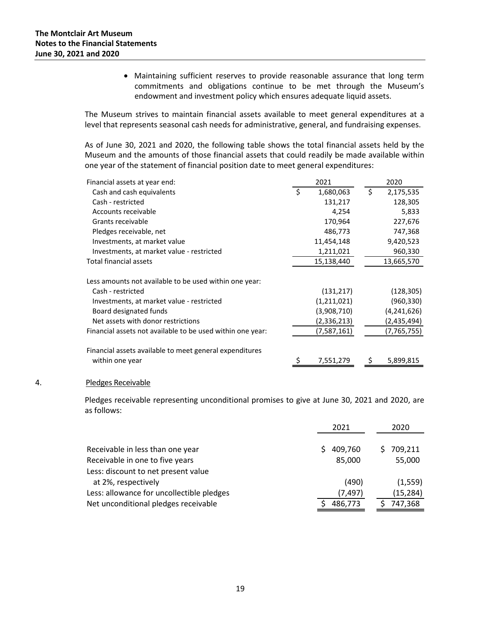• Maintaining sufficient reserves to provide reasonable assurance that long term commitments and obligations continue to be met through the Museum's endowment and investment policy which ensures adequate liquid assets.

The Museum strives to maintain financial assets available to meet general expenditures at a level that represents seasonal cash needs for administrative, general, and fundraising expenses.

As of June 30, 2021 and 2020, the following table shows the total financial assets held by the Museum and the amounts of those financial assets that could readily be made available within one year of the statement of financial position date to meet general expenditures:

| Financial assets at year end:                              | 2021            | 2020            |
|------------------------------------------------------------|-----------------|-----------------|
| Cash and cash equivalents                                  | \$<br>1,680,063 | \$<br>2,175,535 |
| Cash - restricted                                          | 131,217         | 128,305         |
| Accounts receivable                                        | 4,254           | 5,833           |
| Grants receivable                                          | 170,964         | 227,676         |
| Pledges receivable, net                                    | 486,773         | 747,368         |
| Investments, at market value                               | 11,454,148      | 9,420,523       |
| Investments, at market value - restricted                  | 1,211,021       | 960,330         |
| Total financial assets                                     | 15,138,440      | 13,665,570      |
| Less amounts not available to be used within one year:     |                 |                 |
| Cash - restricted                                          | (131, 217)      | (128, 305)      |
| Investments, at market value - restricted                  | (1,211,021)     | (960,330)       |
| Board designated funds                                     | (3,908,710)     | (4,241,626)     |
| Net assets with donor restrictions                         | (2,336,213)     | (2,435,494)     |
| Financial assets not available to be used within one year: | (7,587,161)     | (7, 765, 755)   |
| Financial assets available to meet general expenditures    |                 |                 |
| within one year                                            | 7,551,279       | 5,899,815       |

#### 4. Pledges Receivable

Pledges receivable representing unconditional promises to give at June 30, 2021 and 2020, are as follows:

|                                           | 2021     | 2020      |
|-------------------------------------------|----------|-----------|
| Receivable in less than one year          | 409,760  | 709,211   |
| Receivable in one to five years           | 85.000   | 55,000    |
| Less: discount to net present value       |          |           |
| at 2%, respectively                       | (490)    | (1, 559)  |
| Less: allowance for uncollectible pledges | (7, 497) | (15, 284) |
| Net unconditional pledges receivable      | 486,773  | 747,368   |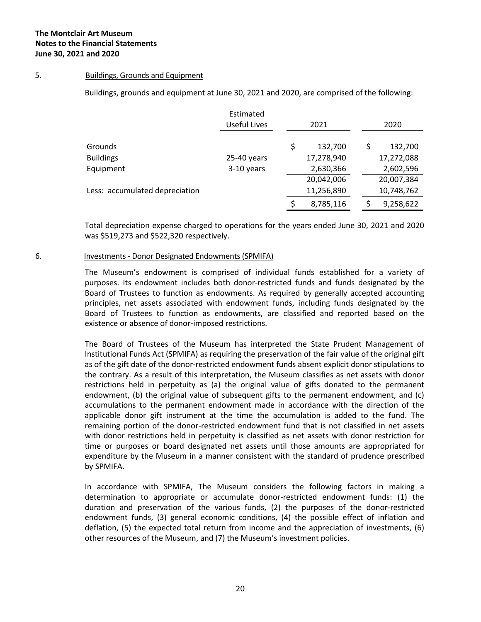## 5. Buildings, Grounds and Equipment

Buildings, grounds and equipment at June 30, 2021 and 2020, are comprised of the following:

|                                | Estimated     |               |   |            |
|--------------------------------|---------------|---------------|---|------------|
|                                | Useful Lives  | 2021          |   | 2020       |
| <b>Grounds</b>                 |               | \$<br>132,700 | Ś | 132,700    |
| <b>Buildings</b>               | $25-40$ years | 17,278,940    |   | 17,272,088 |
| Equipment                      | 3-10 years    | 2,630,366     |   | 2,602,596  |
|                                |               | 20,042,006    |   | 20,007,384 |
| Less: accumulated depreciation |               | 11,256,890    |   | 10,748,762 |
|                                |               | 8,785,116     |   | 9,258,622  |

Total depreciation expense charged to operations for the years ended June 30, 2021 and 2020 was \$519,273 and \$522,320 respectively.

#### 6. Investments - Donor Designated Endowments (SPMIFA)

The Museum's endowment is comprised of individual funds established for a variety of purposes. Its endowment includes both donor-restricted funds and funds designated by the Board of Trustees to function as endowments. As required by generally accepted accounting principles, net assets associated with endowment funds, including funds designated by the Board of Trustees to function as endowments, are classified and reported based on the existence or absence of donor-imposed restrictions.

The Board of Trustees of the Museum has interpreted the State Prudent Management of Institutional Funds Act (SPMIFA) as requiring the preservation of the fair value of the original gift as of the gift date of the donor-restricted endowment funds absent explicit donor stipulations to the contrary. As a result of this interpretation, the Museum classifies as net assets with donor restrictions held in perpetuity as (a) the original value of gifts donated to the permanent endowment, (b) the original value of subsequent gifts to the permanent endowment, and (c) accumulations to the permanent endowment made in accordance with the direction of the applicable donor gift instrument at the time the accumulation is added to the fund. The remaining portion of the donor-restricted endowment fund that is not classified in net assets with donor restrictions held in perpetuity is classified as net assets with donor restriction for time or purposes or board designated net assets until those amounts are appropriated for expenditure by the Museum in a manner consistent with the standard of prudence prescribed by SPMIFA.

In accordance with SPMIFA, The Museum considers the following factors in making a determination to appropriate or accumulate donor-restricted endowment funds: (1) the duration and preservation of the various funds, (2) the purposes of the donor-restricted endowment funds, (3) general economic conditions, (4) the possible effect of inflation and deflation, (5) the expected total return from income and the appreciation of investments, (6) other resources of the Museum, and (7) the Museum's investment policies.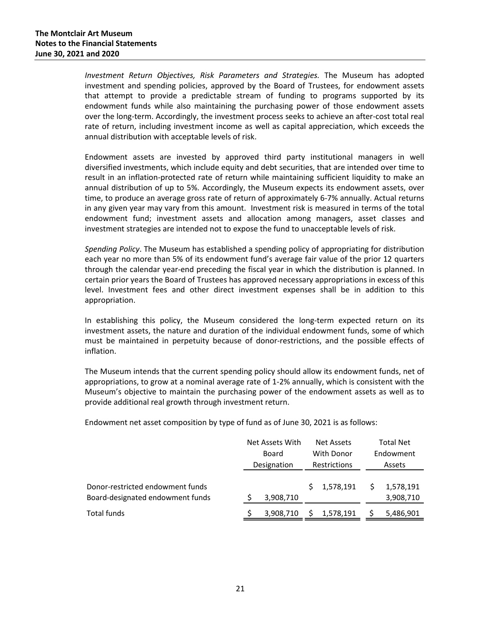*Investment Return Objectives, Risk Parameters and Strategies.* The Museum has adopted investment and spending policies, approved by the Board of Trustees, for endowment assets that attempt to provide a predictable stream of funding to programs supported by its endowment funds while also maintaining the purchasing power of those endowment assets over the long-term. Accordingly, the investment process seeks to achieve an after-cost total real rate of return, including investment income as well as capital appreciation, which exceeds the annual distribution with acceptable levels of risk.

Endowment assets are invested by approved third party institutional managers in well diversified investments, which include equity and debt securities, that are intended over time to result in an inflation-protected rate of return while maintaining sufficient liquidity to make an annual distribution of up to 5%. Accordingly, the Museum expects its endowment assets, over time, to produce an average gross rate of return of approximately 6-7% annually. Actual returns in any given year may vary from this amount. Investment risk is measured in terms of the total endowment fund; investment assets and allocation among managers, asset classes and investment strategies are intended not to expose the fund to unacceptable levels of risk.

*Spending Policy*. The Museum has established a spending policy of appropriating for distribution each year no more than 5% of its endowment fund's average fair value of the prior 12 quarters through the calendar year-end preceding the fiscal year in which the distribution is planned. In certain prior years the Board of Trustees has approved necessary appropriations in excess of this level. Investment fees and other direct investment expenses shall be in addition to this appropriation.

In establishing this policy, the Museum considered the long-term expected return on its investment assets, the nature and duration of the individual endowment funds, some of which must be maintained in perpetuity because of donor-restrictions, and the possible effects of inflation.

The Museum intends that the current spending policy should allow its endowment funds, net of appropriations, to grow at a nominal average rate of 1-2% annually, which is consistent with the Museum's objective to maintain the purchasing power of the endowment assets as well as to provide additional real growth through investment return.

Endowment net asset composition by type of fund as of June 30, 2021 is as follows:

|                                                                      | Net Assets With<br>Board<br>Designation |           |    |           |                        |  | Net Assets<br>With Donor<br>Restrictions |  | <b>Total Net</b><br>Endowment<br>Assets |
|----------------------------------------------------------------------|-----------------------------------------|-----------|----|-----------|------------------------|--|------------------------------------------|--|-----------------------------------------|
| Donor-restricted endowment funds<br>Board-designated endowment funds |                                         | 3,908,710 | S. | 1,578,191 | 1,578,191<br>3,908,710 |  |                                          |  |                                         |
| Total funds                                                          |                                         | 3,908,710 | S  | 1,578,191 | 5,486,901              |  |                                          |  |                                         |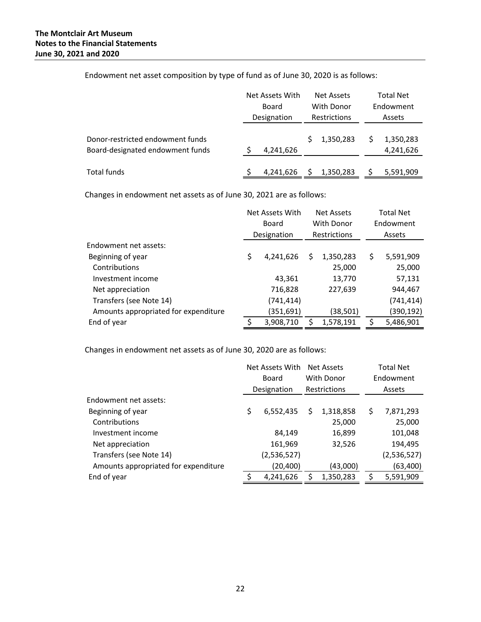Endowment net asset composition by type of fund as of June 30, 2020 is as follows:

|                                                                      | Net Assets With<br>Board<br>Designation |           | Net Assets<br>With Donor<br>Restrictions | <b>Total Net</b><br>Endowment<br>Assets |
|----------------------------------------------------------------------|-----------------------------------------|-----------|------------------------------------------|-----------------------------------------|
| Donor-restricted endowment funds<br>Board-designated endowment funds |                                         | 4,241,626 | 1,350,283                                | 1,350,283<br>4,241,626                  |
| <b>Total funds</b>                                                   |                                         | 4,241,626 | 1,350,283                                | 5,591,909                               |

Changes in endowment net assets as of June 30, 2021 are as follows:

|                                      | Net Assets With | <b>Net Assets</b> |                     |    | <b>Total Net</b> |  |
|--------------------------------------|-----------------|-------------------|---------------------|----|------------------|--|
|                                      | Board           | With Donor        |                     |    | Endowment        |  |
|                                      | Designation     |                   | <b>Restrictions</b> |    | Assets           |  |
| Endowment net assets:                |                 |                   |                     |    |                  |  |
| Beginning of year                    | \$<br>4,241,626 | S                 | 1,350,283           | \$ | 5,591,909        |  |
| Contributions                        |                 |                   | 25,000              |    | 25,000           |  |
| Investment income                    | 43,361          |                   | 13,770              |    | 57,131           |  |
| Net appreciation                     | 716,828         |                   | 227,639             |    | 944,467          |  |
| Transfers (see Note 14)              | (741, 414)      |                   |                     |    | (741, 414)       |  |
| Amounts appropriated for expenditure | (351, 691)      |                   | (38,501)            |    | (390,192)        |  |
| End of year                          | \$<br>3,908,710 |                   | 1,578,191           | S  | 5,486,901        |  |

Changes in endowment net assets as of June 30, 2020 are as follows:

|                                      | Net Assets With |             | Net Assets   |           | <b>Total Net</b> |  |
|--------------------------------------|-----------------|-------------|--------------|-----------|------------------|--|
|                                      |                 | Board       | With Donor   |           | Endowment        |  |
|                                      |                 | Designation | Restrictions |           | Assets           |  |
| Endowment net assets:                |                 |             |              |           |                  |  |
| Beginning of year                    | \$              | 6,552,435   | Ś            | 1,318,858 | \$<br>7,871,293  |  |
| Contributions                        |                 |             |              | 25,000    | 25,000           |  |
| Investment income                    |                 | 84,149      |              | 16,899    | 101,048          |  |
| Net appreciation                     |                 | 161,969     |              | 32,526    | 194,495          |  |
| Transfers (see Note 14)              |                 | (2,536,527) |              |           | (2,536,527)      |  |
| Amounts appropriated for expenditure |                 | (20, 400)   |              | (43,000)  | (63,400)         |  |
| End of year                          |                 | 4,241,626   |              | 1,350,283 | 5,591,909        |  |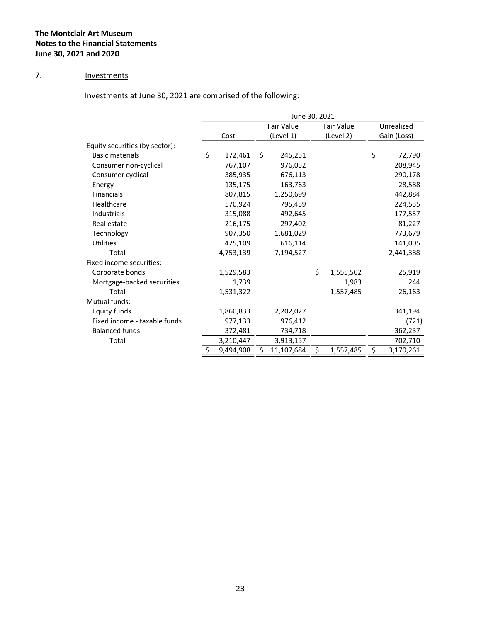# 7. Investments

Investments at June 30, 2021 are comprised of the following:

|                                | June 30, 2021 |           |     |                   |    |                   |    |             |
|--------------------------------|---------------|-----------|-----|-------------------|----|-------------------|----|-------------|
|                                |               |           |     | <b>Fair Value</b> |    | <b>Fair Value</b> |    | Unrealized  |
|                                |               | Cost      |     | (Level 1)         |    | (Level 2)         |    | Gain (Loss) |
| Equity securities (by sector): |               |           |     |                   |    |                   |    |             |
| <b>Basic materials</b>         | \$            | 172,461   | Ś.  | 245,251           |    |                   | \$ | 72,790      |
| Consumer non-cyclical          |               | 767,107   |     | 976,052           |    |                   |    | 208,945     |
| Consumer cyclical              |               | 385,935   |     | 676,113           |    |                   |    | 290,178     |
| Energy                         |               | 135,175   |     | 163,763           |    |                   |    | 28,588      |
| <b>Financials</b>              |               | 807,815   |     | 1,250,699         |    |                   |    | 442,884     |
| Healthcare                     |               | 570,924   |     | 795,459           |    |                   |    | 224,535     |
| Industrials                    |               | 315,088   |     | 492,645           |    |                   |    | 177,557     |
| Real estate                    |               | 216,175   |     | 297,402           |    |                   |    | 81,227      |
| Technology                     |               | 907,350   |     | 1,681,029         |    |                   |    | 773,679     |
| <b>Utilities</b>               |               | 475,109   |     | 616,114           |    |                   |    | 141,005     |
| Total                          |               | 4,753,139 |     | 7,194,527         |    |                   |    | 2,441,388   |
| Fixed income securities:       |               |           |     |                   |    |                   |    |             |
| Corporate bonds                |               | 1,529,583 |     |                   | \$ | 1,555,502         |    | 25,919      |
| Mortgage-backed securities     |               | 1,739     |     |                   |    | 1,983             |    | 244         |
| Total                          |               | 1,531,322 |     |                   |    | 1,557,485         |    | 26,163      |
| Mutual funds:                  |               |           |     |                   |    |                   |    |             |
| Equity funds                   |               | 1,860,833 |     | 2,202,027         |    |                   |    | 341,194     |
| Fixed income - taxable funds   |               | 977,133   |     | 976,412           |    |                   |    | (721)       |
| <b>Balanced funds</b>          |               | 372,481   |     | 734,718           |    |                   |    | 362,237     |
| Total                          |               | 3,210,447 |     | 3,913,157         |    |                   |    | 702,710     |
|                                | \$            | 9,494,908 | \$. | 11,107,684        | \$ | 1,557,485         | \$ | 3,170,261   |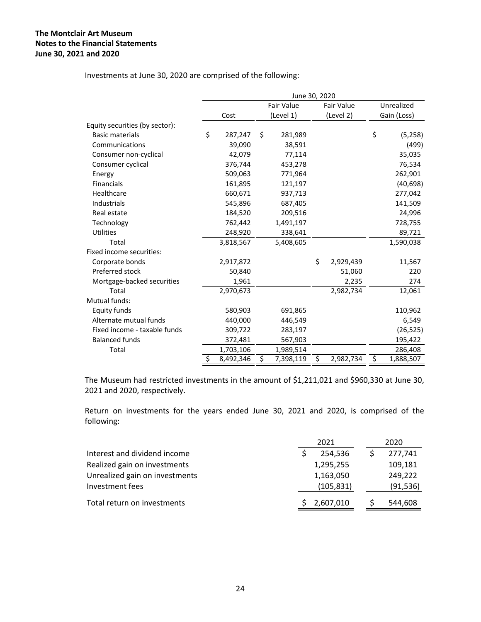|                                | June 30, 2020 |           |    |                   |    |                   |    |             |
|--------------------------------|---------------|-----------|----|-------------------|----|-------------------|----|-------------|
|                                |               |           |    | <b>Fair Value</b> |    | <b>Fair Value</b> |    | Unrealized  |
|                                |               | Cost      |    | (Level 1)         |    | (Level 2)         |    | Gain (Loss) |
| Equity securities (by sector): |               |           |    |                   |    |                   |    |             |
| <b>Basic materials</b>         | \$            | 287,247   | Ś. | 281,989           |    |                   | \$ | (5,258)     |
| Communications                 |               | 39,090    |    | 38,591            |    |                   |    | (499)       |
| Consumer non-cyclical          |               | 42,079    |    | 77,114            |    |                   |    | 35,035      |
| Consumer cyclical              |               | 376,744   |    | 453,278           |    |                   |    | 76,534      |
| Energy                         |               | 509,063   |    | 771,964           |    |                   |    | 262,901     |
| <b>Financials</b>              |               | 161,895   |    | 121,197           |    |                   |    | (40, 698)   |
| Healthcare                     |               | 660,671   |    | 937,713           |    |                   |    | 277,042     |
| <b>Industrials</b>             |               | 545,896   |    | 687,405           |    |                   |    | 141,509     |
| Real estate                    |               | 184,520   |    | 209,516           |    |                   |    | 24,996      |
| Technology                     |               | 762,442   |    | 1,491,197         |    |                   |    | 728,755     |
| <b>Utilities</b>               |               | 248,920   |    | 338,641           |    |                   |    | 89,721      |
| Total                          |               | 3,818,567 |    | 5,408,605         |    |                   |    | 1,590,038   |
| Fixed income securities:       |               |           |    |                   |    |                   |    |             |
| Corporate bonds                |               | 2,917,872 |    |                   | \$ | 2,929,439         |    | 11,567      |
| Preferred stock                |               | 50,840    |    |                   |    | 51,060            |    | 220         |
| Mortgage-backed securities     |               | 1,961     |    |                   |    | 2,235             |    | 274         |
| Total                          |               | 2,970,673 |    |                   |    | 2,982,734         |    | 12,061      |
| Mutual funds:                  |               |           |    |                   |    |                   |    |             |
| <b>Equity funds</b>            |               | 580,903   |    | 691,865           |    |                   |    | 110,962     |
| Alternate mutual funds         |               | 440,000   |    | 446,549           |    |                   |    | 6,549       |
| Fixed income - taxable funds   |               | 309,722   |    | 283,197           |    |                   |    | (26, 525)   |
| <b>Balanced funds</b>          |               | 372,481   |    | 567,903           |    |                   |    | 195,422     |
| Total                          |               | 1,703,106 |    | 1,989,514         |    |                   |    | 286,408     |
|                                | \$            | 8,492,346 | \$ | 7,398,119         | \$ | 2,982,734         | \$ | 1,888,507   |

Investments at June 30, 2020 are comprised of the following:

The Museum had restricted investments in the amount of \$1,211,021 and \$960,330 at June 30, 2021 and 2020, respectively.

Return on investments for the years ended June 30, 2021 and 2020, is comprised of the following:

|                                | 2021       | 2020      |
|--------------------------------|------------|-----------|
| Interest and dividend income   | 254,536    | 277,741   |
| Realized gain on investments   | 1,295,255  | 109,181   |
| Unrealized gain on investments | 1,163,050  | 249,222   |
| Investment fees                | (105, 831) | (91, 536) |
| Total return on investments    | 2,607,010  | 544,608   |
|                                |            |           |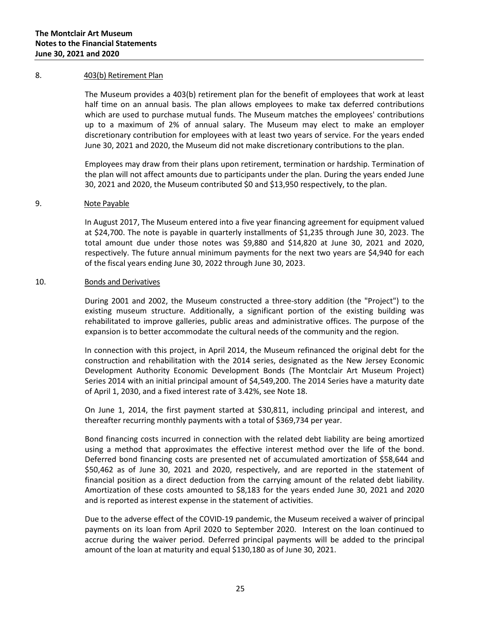#### 8. 403(b) Retirement Plan

The Museum provides a 403(b) retirement plan for the benefit of employees that work at least half time on an annual basis. The plan allows employees to make tax deferred contributions which are used to purchase mutual funds. The Museum matches the employees' contributions up to a maximum of 2% of annual salary. The Museum may elect to make an employer discretionary contribution for employees with at least two years of service. For the years ended June 30, 2021 and 2020, the Museum did not make discretionary contributions to the plan.

Employees may draw from their plans upon retirement, termination or hardship. Termination of the plan will not affect amounts due to participants under the plan. During the years ended June 30, 2021 and 2020, the Museum contributed \$0 and \$13,950 respectively, to the plan.

## 9. Note Payable

In August 2017, The Museum entered into a five year financing agreement for equipment valued at \$24,700. The note is payable in quarterly installments of \$1,235 through June 30, 2023. The total amount due under those notes was \$9,880 and \$14,820 at June 30, 2021 and 2020, respectively. The future annual minimum payments for the next two years are \$4,940 for each of the fiscal years ending June 30, 2022 through June 30, 2023.

## 10. Bonds and Derivatives

During 2001 and 2002, the Museum constructed a three-story addition (the "Project") to the existing museum structure. Additionally, a significant portion of the existing building was rehabilitated to improve galleries, public areas and administrative offices. The purpose of the expansion is to better accommodate the cultural needs of the community and the region.

In connection with this project, in April 2014, the Museum refinanced the original debt for the construction and rehabilitation with the 2014 series, designated as the New Jersey Economic Development Authority Economic Development Bonds (The Montclair Art Museum Project) Series 2014 with an initial principal amount of \$4,549,200. The 2014 Series have a maturity date of April 1, 2030, and a fixed interest rate of 3.42%, see Note 18.

On June 1, 2014, the first payment started at \$30,811, including principal and interest, and thereafter recurring monthly payments with a total of \$369,734 per year.

Bond financing costs incurred in connection with the related debt liability are being amortized using a method that approximates the effective interest method over the life of the bond. Deferred bond financing costs are presented net of accumulated amortization of \$58,644 and \$50,462 as of June 30, 2021 and 2020, respectively, and are reported in the statement of financial position as a direct deduction from the carrying amount of the related debt liability. Amortization of these costs amounted to \$8,183 for the years ended June 30, 2021 and 2020 and is reported as interest expense in the statement of activities.

Due to the adverse effect of the COVID-19 pandemic, the Museum received a waiver of principal payments on its loan from April 2020 to September 2020. Interest on the loan continued to accrue during the waiver period. Deferred principal payments will be added to the principal amount of the loan at maturity and equal \$130,180 as of June 30, 2021.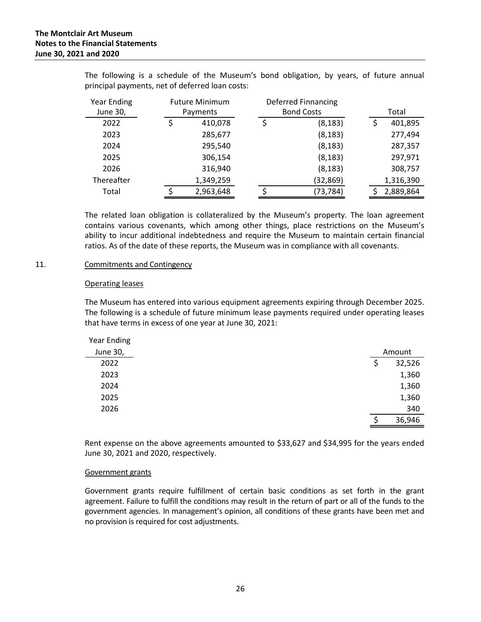| <b>Year Ending</b> | <b>Future Minimum</b> |  | <b>Deferred Finnancing</b> |                   |  |    |           |
|--------------------|-----------------------|--|----------------------------|-------------------|--|----|-----------|
| June 30,           | Payments              |  |                            | <b>Bond Costs</b> |  |    | Total     |
| 2022               | 410,078               |  |                            | (8, 183)          |  | \$ | 401,895   |
| 2023               | 285,677               |  |                            | (8, 183)          |  |    | 277,494   |
| 2024               | 295,540               |  |                            | (8, 183)          |  |    | 287,357   |
| 2025               | 306,154               |  |                            | (8, 183)          |  |    | 297,971   |
| 2026               | 316,940               |  |                            | (8, 183)          |  |    | 308,757   |
| Thereafter         | 1,349,259             |  |                            | (32,869)          |  |    | 1,316,390 |
| Total              | 2,963,648             |  |                            | (73, 784)         |  |    | 2,889,864 |

The following is a schedule of the Museum's bond obligation, by years, of future annual principal payments, net of deferred loan costs:

The related loan obligation is collateralized by the Museum's property. The loan agreement contains various covenants, which among other things, place restrictions on the Museum's ability to incur additional indebtedness and require the Museum to maintain certain financial ratios. As of the date of these reports, the Museum was in compliance with all covenants.

## 11. Commitments and Contingency

#### Operating leases

The Museum has entered into various equipment agreements expiring through December 2025. The following is a schedule of future minimum lease payments required under operating leases that have terms in excess of one year at June 30, 2021:

| Year Ending |              |  |
|-------------|--------------|--|
| June 30,    | Amount       |  |
| 2022        | 32,526<br>\$ |  |
| 2023        | 1,360        |  |
| 2024        | 1,360        |  |
| 2025        | 1,360        |  |
| 2026        | 340          |  |
|             | 36,946<br>S  |  |

Rent expense on the above agreements amounted to \$33,627 and \$34,995 for the years ended June 30, 2021 and 2020, respectively.

#### Government grants

Government grants require fulfillment of certain basic conditions as set forth in the grant agreement. Failure to fulfill the conditions may result in the return of part or all of the funds to the government agencies. In management's opinion, all conditions of these grants have been met and no provision is required for cost adjustments.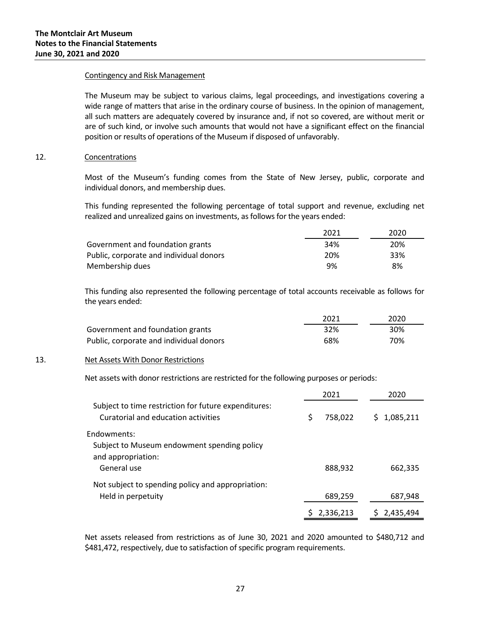#### Contingency and Risk Management

The Museum may be subject to various claims, legal proceedings, and investigations covering a wide range of matters that arise in the ordinary course of business. In the opinion of management, all such matters are adequately covered by insurance and, if not so covered, are without merit or are of such kind, or involve such amounts that would not have a significant effect on the financial position or results of operations of the Museum if disposed of unfavorably.

#### 12. Concentrations

Most of the Museum's funding comes from the State of New Jersey, public, corporate and individual donors, and membership dues.

This funding represented the following percentage of total support and revenue, excluding net realized and unrealized gains on investments, as follows for the years ended:

|                                         | 2021 | 2020 |
|-----------------------------------------|------|------|
| Government and foundation grants        | 34%  | 20%  |
| Public, corporate and individual donors | 20%  | 33%  |
| Membership dues                         | 9%   | 8%   |

This funding also represented the following percentage of total accounts receivable as follows for the years ended:

|                                         | 2021 | 2020 |
|-----------------------------------------|------|------|
| Government and foundation grants        | 32%  | 30%  |
| Public, corporate and individual donors | 68%  | 70%  |

#### 13. Net Assets With Donor Restrictions

Net assets with donor restrictions are restricted for the following purposes or periods:

|                                                                                             | 2021 |           |  | 2020      |  |
|---------------------------------------------------------------------------------------------|------|-----------|--|-----------|--|
| Subject to time restriction for future expenditures:<br>Curatorial and education activities | \$   | 758,022   |  | 1,085,211 |  |
| Endowments:                                                                                 |      |           |  |           |  |
| Subject to Museum endowment spending policy                                                 |      |           |  |           |  |
| and appropriation:                                                                          |      |           |  |           |  |
| General use                                                                                 |      | 888,932   |  | 662,335   |  |
| Not subject to spending policy and appropriation:                                           |      |           |  |           |  |
| Held in perpetuity                                                                          |      | 689,259   |  | 687,948   |  |
|                                                                                             |      | 2,336,213 |  | 2,435,494 |  |

Net assets released from restrictions as of June 30, 2021 and 2020 amounted to \$480,712 and \$481,472, respectively, due to satisfaction of specific program requirements.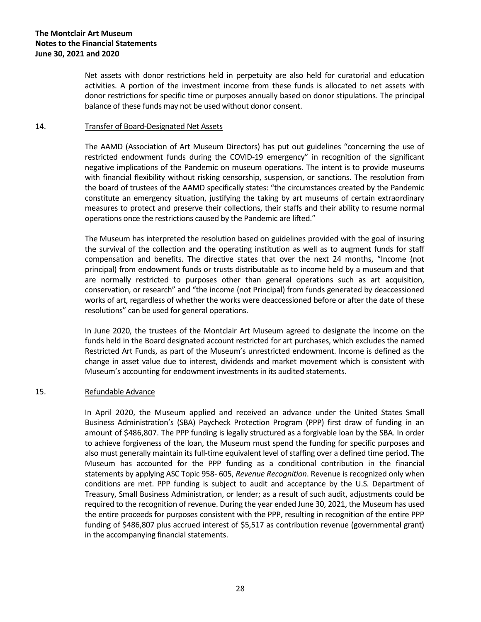Net assets with donor restrictions held in perpetuity are also held for curatorial and education activities. A portion of the investment income from these funds is allocated to net assets with donor restrictions for specific time or purposes annually based on donor stipulations. The principal balance of these funds may not be used without donor consent.

#### 14. Transfer of Board-Designated Net Assets

The AAMD (Association of Art Museum Directors) has put out guidelines "concerning the use of restricted endowment funds during the COVID-19 emergency" in recognition of the significant negative implications of the Pandemic on museum operations. The intent is to provide museums with financial flexibility without risking censorship, suspension, or sanctions. The resolution from the board of trustees of the AAMD specifically states: "the circumstances created by the Pandemic constitute an emergency situation, justifying the taking by art museums of certain extraordinary measures to protect and preserve their collections, their staffs and their ability to resume normal operations once the restrictions caused by the Pandemic are lifted."

The Museum has interpreted the resolution based on guidelines provided with the goal of insuring the survival of the collection and the operating institution as well as to augment funds for staff compensation and benefits. The directive states that over the next 24 months, "Income (not principal) from endowment funds or trusts distributable as to income held by a museum and that are normally restricted to purposes other than general operations such as art acquisition, conservation, or research" and "the income (not Principal) from funds generated by deaccessioned works of art, regardless of whether the works were deaccessioned before or after the date of these resolutions" can be used for general operations.

In June 2020, the trustees of the Montclair Art Museum agreed to designate the income on the funds held in the Board designated account restricted for art purchases, which excludes the named Restricted Art Funds, as part of the Museum's unrestricted endowment. Income is defined as the change in asset value due to interest, dividends and market movement which is consistent with Museum's accounting for endowment investments in its audited statements.

# 15. Refundable Advance

In April 2020, the Museum applied and received an advance under the United States Small Business Administration's (SBA) Paycheck Protection Program (PPP) first draw of funding in an amount of \$486,807. The PPP funding is legally structured as a forgivable loan by the SBA. In order to achieve forgiveness of the loan, the Museum must spend the funding for specific purposes and also must generally maintain its full-time equivalent level of staffing over a defined time period. The Museum has accounted for the PPP funding as a conditional contribution in the financial statements by applying ASC Topic 958- 605, *Revenue Recognition*. Revenue is recognized only when conditions are met. PPP funding is subject to audit and acceptance by the U.S. Department of Treasury, Small Business Administration, or lender; as a result of such audit, adjustments could be required to the recognition of revenue. During the year ended June 30, 2021, the Museum has used the entire proceeds for purposes consistent with the PPP, resulting in recognition of the entire PPP funding of \$486,807 plus accrued interest of \$5,517 as contribution revenue (governmental grant) in the accompanying financial statements.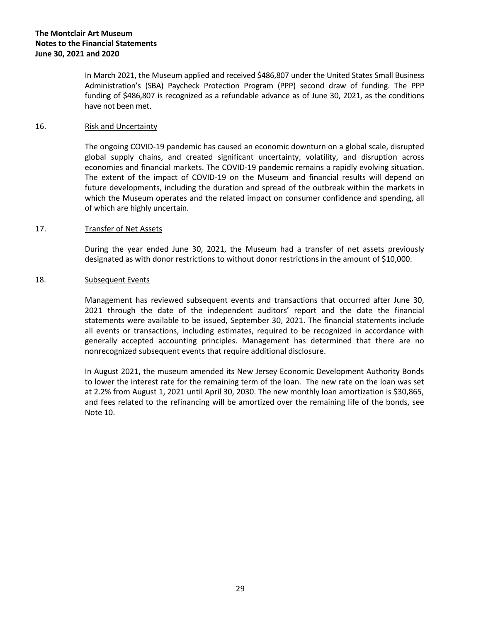In March 2021, the Museum applied and received \$486,807 under the United States Small Business Administration's (SBA) Paycheck Protection Program (PPP) second draw of funding. The PPP funding of \$486,807 is recognized as a refundable advance as of June 30, 2021, as the conditions have not been met.

#### 16. Risk and Uncertainty

The ongoing COVID-19 pandemic has caused an economic downturn on a global scale, disrupted global supply chains, and created significant uncertainty, volatility, and disruption across economies and financial markets. The COVID-19 pandemic remains a rapidly evolving situation. The extent of the impact of COVID-19 on the Museum and financial results will depend on future developments, including the duration and spread of the outbreak within the markets in which the Museum operates and the related impact on consumer confidence and spending, all of which are highly uncertain.

#### 17. Transfer of Net Assets

During the year ended June 30, 2021, the Museum had a transfer of net assets previously designated as with donor restrictions to without donor restrictions in the amount of \$10,000.

#### 18. Subsequent Events

Management has reviewed subsequent events and transactions that occurred after June 30, 2021 through the date of the independent auditors' report and the date the financial statements were available to be issued, September 30, 2021. The financial statements include all events or transactions, including estimates, required to be recognized in accordance with generally accepted accounting principles. Management has determined that there are no nonrecognized subsequent events that require additional disclosure.

In August 2021, the museum amended its New Jersey Economic Development Authority Bonds to lower the interest rate for the remaining term of the loan. The new rate on the loan was set at 2.2% from August 1, 2021 until April 30, 2030. The new monthly loan amortization is \$30,865, and fees related to the refinancing will be amortized over the remaining life of the bonds, see Note 10.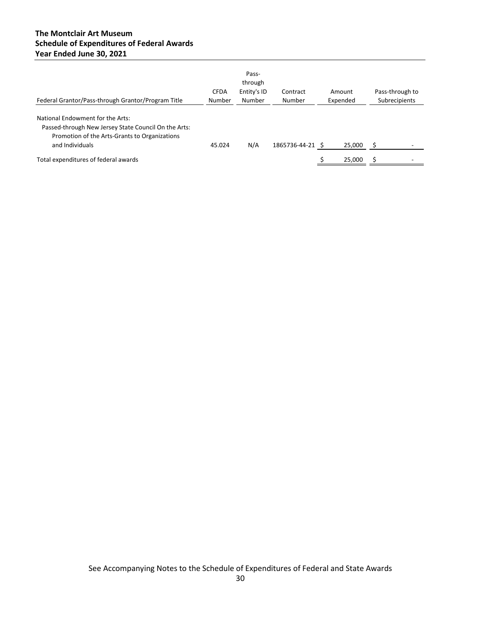# **The Montclair Art Museum Schedule of Expenditures of Federal Awards Year Ended June 30, 2021**

| Federal Grantor/Pass-through Grantor/Program Title                                                                                                           | CFDA<br>Number | Pass-<br>through<br>Entity's ID<br>Number | Contract<br>Number | Amount<br>Expended | Pass-through to<br>Subrecipients |        |
|--------------------------------------------------------------------------------------------------------------------------------------------------------------|----------------|-------------------------------------------|--------------------|--------------------|----------------------------------|--------|
| National Endowment for the Arts:<br>Passed-through New Jersey State Council On the Arts:<br>Promotion of the Arts-Grants to Organizations<br>and Individuals | 45.024         | N/A                                       | 1865736-44-21 \$   | 25,000             | $\frac{1}{2}$                    |        |
| Total expenditures of federal awards                                                                                                                         |                |                                           |                    | \$<br>25,000       | \$                               | $\sim$ |
|                                                                                                                                                              |                |                                           |                    |                    |                                  |        |
|                                                                                                                                                              |                |                                           |                    |                    |                                  |        |
|                                                                                                                                                              |                |                                           |                    |                    |                                  |        |
|                                                                                                                                                              |                |                                           |                    |                    |                                  |        |
|                                                                                                                                                              |                |                                           |                    |                    |                                  |        |
|                                                                                                                                                              |                |                                           |                    |                    |                                  |        |
|                                                                                                                                                              |                |                                           |                    |                    |                                  |        |
|                                                                                                                                                              |                |                                           |                    |                    |                                  |        |
|                                                                                                                                                              |                |                                           |                    |                    |                                  |        |
|                                                                                                                                                              |                |                                           |                    |                    |                                  |        |
|                                                                                                                                                              |                |                                           |                    |                    |                                  |        |
|                                                                                                                                                              |                |                                           |                    |                    |                                  |        |
|                                                                                                                                                              |                |                                           |                    |                    |                                  |        |
|                                                                                                                                                              |                |                                           |                    |                    |                                  |        |
|                                                                                                                                                              |                |                                           |                    |                    |                                  |        |
|                                                                                                                                                              |                |                                           |                    |                    |                                  |        |
|                                                                                                                                                              |                |                                           |                    |                    |                                  |        |
|                                                                                                                                                              |                |                                           |                    |                    |                                  |        |
|                                                                                                                                                              |                |                                           |                    |                    |                                  |        |
|                                                                                                                                                              |                |                                           |                    |                    |                                  |        |
|                                                                                                                                                              |                |                                           |                    |                    |                                  |        |
|                                                                                                                                                              |                |                                           |                    |                    |                                  |        |
| See Accompanying Notes to the Schedule of Expenditures of Federal and State Awards                                                                           |                | 30                                        |                    |                    |                                  |        |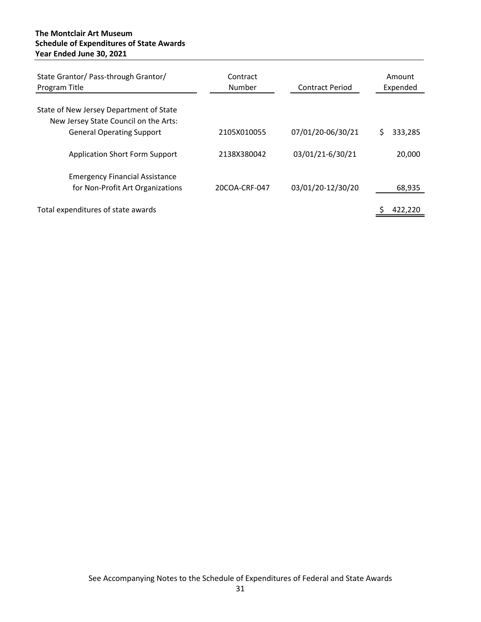# **The Montclair Art Museum Schedule of Expenditures of State Awards Year Ended June 30, 2021**

| State Grantor/ Pass-through Grantor/<br>Program Title                                                                | Contract<br>Number | <b>Contract Period</b> | Amount<br>Expended |  |
|----------------------------------------------------------------------------------------------------------------------|--------------------|------------------------|--------------------|--|
| State of New Jersey Department of State<br>New Jersey State Council on the Arts:<br><b>General Operating Support</b> | 2105X010055        | 07/01/20-06/30/21      | Ś<br>333,285       |  |
| <b>Application Short Form Support</b>                                                                                | 2138X380042        | 03/01/21-6/30/21       | 20,000             |  |
| <b>Emergency Financial Assistance</b><br>for Non-Profit Art Organizations                                            | 20COA-CRF-047      | 03/01/20-12/30/20      | 68,935             |  |
| Total expenditures of state awards                                                                                   |                    |                        | 422,220            |  |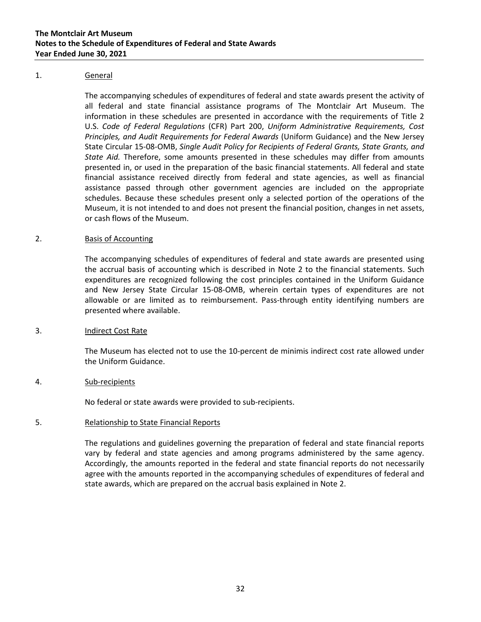## 1. General

The accompanying schedules of expenditures of federal and state awards present the activity of all federal and state financial assistance programs of The Montclair Art Museum. The information in these schedules are presented in accordance with the requirements of Title 2 U.S. *Code of Federal Regulations* (CFR) Part 200, *Uniform Administrative Requirements, Cost Principles, and Audit Requirements for Federal Awards* (Uniform Guidance) and the New Jersey State Circular 15-08-OMB, *Single Audit Policy for Recipients of Federal Grants, State Grants, and State Aid.* Therefore, some amounts presented in these schedules may differ from amounts presented in, or used in the preparation of the basic financial statements. All federal and state financial assistance received directly from federal and state agencies, as well as financial assistance passed through other government agencies are included on the appropriate schedules. Because these schedules present only a selected portion of the operations of the Museum, it is not intended to and does not present the financial position, changes in net assets, or cash flows of the Museum.

## 2. Basis of Accounting

The accompanying schedules of expenditures of federal and state awards are presented using the accrual basis of accounting which is described in Note 2 to the financial statements. Such expenditures are recognized following the cost principles contained in the Uniform Guidance and New Jersey State Circular 15-08-OMB, wherein certain types of expenditures are not allowable or are limited as to reimbursement. Pass-through entity identifying numbers are presented where available.

#### 3. Indirect Cost Rate

The Museum has elected not to use the 10-percent de minimis indirect cost rate allowed under the Uniform Guidance.

#### 4. Sub-recipients

No federal or state awards were provided to sub-recipients.

#### 5. Relationship to State Financial Reports

The regulations and guidelines governing the preparation of federal and state financial reports vary by federal and state agencies and among programs administered by the same agency. Accordingly, the amounts reported in the federal and state financial reports do not necessarily agree with the amounts reported in the accompanying schedules of expenditures of federal and state awards, which are prepared on the accrual basis explained in Note 2.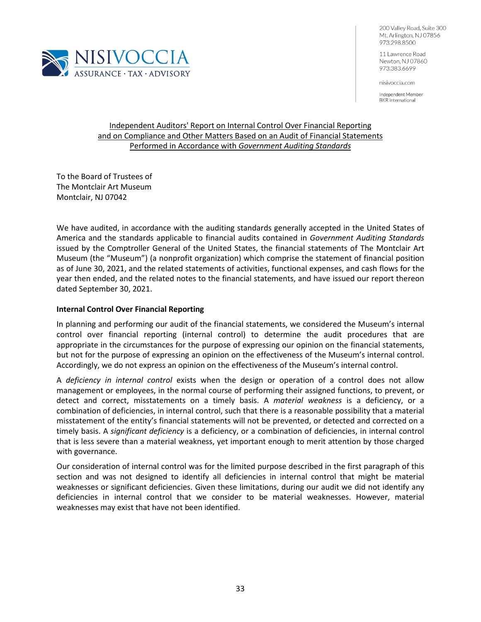200 Valley Road, Suite 300 Mt. Arlington, NJ 07856 973.298.8500

11 Lawrence Road Newton, NJ 07860 973.383.6699

nisivoccia.com

Independent Member **BKR** International



# Independent Auditors' Report on Internal Control Over Financial Reporting and on Compliance and Other Matters Based on an Audit of Financial Statements Performed in Accordance with *Government Auditing Standards*

To the Board of Trustees of The Montclair Art Museum Montclair, NJ 07042

We have audited, in accordance with the auditing standards generally accepted in the United States of America and the standards applicable to financial audits contained in *Government Auditing Standards* issued by the Comptroller General of the United States, the financial statements of The Montclair Art Museum (the "Museum") (a nonprofit organization) which comprise the statement of financial position as of June 30, 2021, and the related statements of activities, functional expenses, and cash flows for the year then ended, and the related notes to the financial statements, and have issued our report thereon dated September 30, 2021.

# **Internal Control Over Financial Reporting**

In planning and performing our audit of the financial statements, we considered the Museum's internal control over financial reporting (internal control) to determine the audit procedures that are appropriate in the circumstances for the purpose of expressing our opinion on the financial statements, but not for the purpose of expressing an opinion on the effectiveness of the Museum's internal control. Accordingly, we do not express an opinion on the effectiveness of the Museum's internal control.

A *deficiency in internal control* exists when the design or operation of a control does not allow management or employees, in the normal course of performing their assigned functions, to prevent, or detect and correct, misstatements on a timely basis. A *material weakness* is a deficiency, or a combination of deficiencies, in internal control, such that there is a reasonable possibility that a material misstatement of the entity's financial statements will not be prevented, or detected and corrected on a timely basis. A *significant deficiency* is a deficiency, or a combination of deficiencies, in internal control that is less severe than a material weakness, yet important enough to merit attention by those charged with governance.

Our consideration of internal control was for the limited purpose described in the first paragraph of this section and was not designed to identify all deficiencies in internal control that might be material weaknesses or significant deficiencies. Given these limitations, during our audit we did not identify any deficiencies in internal control that we consider to be material weaknesses. However, material weaknesses may exist that have not been identified.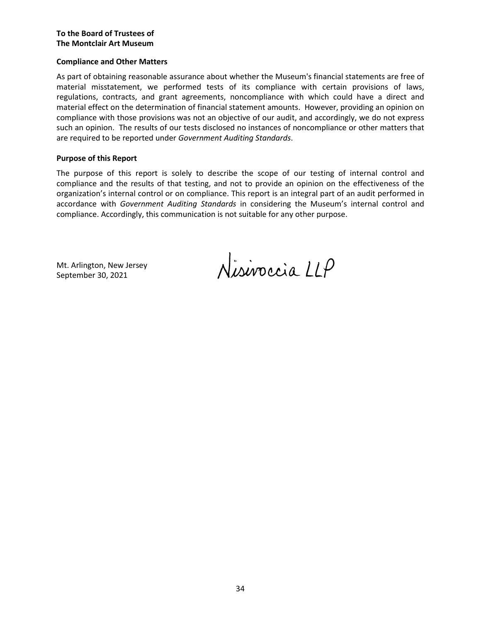# **To the Board of Trustees of The Montclair Art Museum**

# **Compliance and Other Matters**

As part of obtaining reasonable assurance about whether the Museum's financial statements are free of material misstatement, we performed tests of its compliance with certain provisions of laws, regulations, contracts, and grant agreements, noncompliance with which could have a direct and material effect on the determination of financial statement amounts. However, providing an opinion on compliance with those provisions was not an objective of our audit, and accordingly, we do not express such an opinion. The results of our tests disclosed no instances of noncompliance or other matters that are required to be reported under *Government Auditing Standards*.

# **Purpose of this Report**

The purpose of this report is solely to describe the scope of our testing of internal control and compliance and the results of that testing, and not to provide an opinion on the effectiveness of the organization's internal control or on compliance. This report is an integral part of an audit performed in accordance with *Government Auditing Standards* in considering the Museum's internal control and compliance. Accordingly, this communication is not suitable for any other purpose.

Mt. Arlington, New Jersey September 30, 2021

Nisivoccia LLP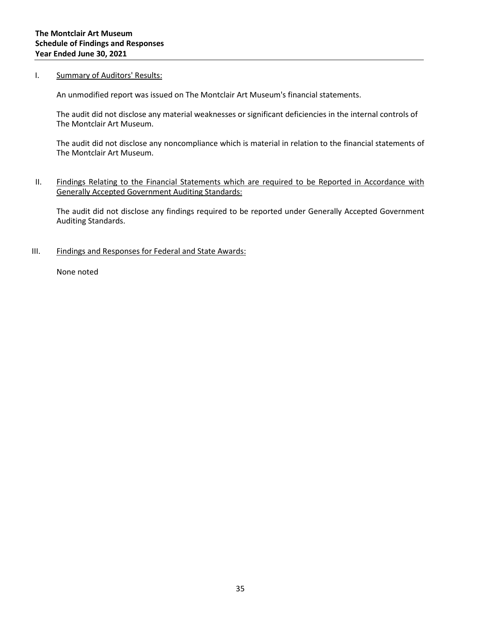## I. Summary of Auditors' Results:

An unmodified report was issued on The Montclair Art Museum's financial statements.

The audit did not disclose any material weaknesses or significant deficiencies in the internal controls of The Montclair Art Museum.

The audit did not disclose any noncompliance which is material in relation to the financial statements of The Montclair Art Museum.

II. Findings Relating to the Financial Statements which are required to be Reported in Accordance with Generally Accepted Government Auditing Standards:

The audit did not disclose any findings required to be reported under Generally Accepted Government Auditing Standards.

III. Findings and Responses for Federal and State Awards:

None noted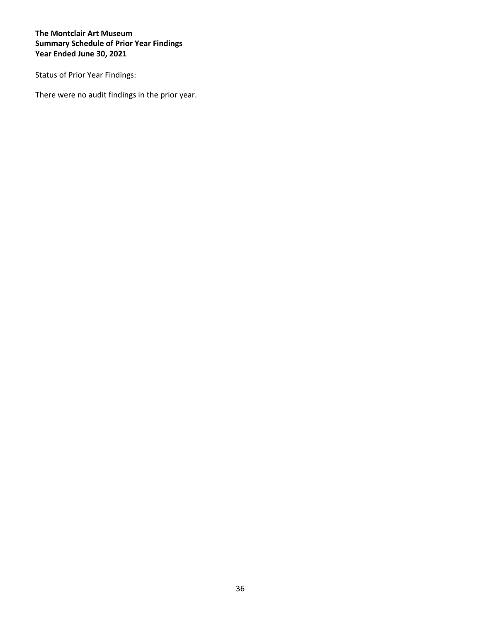# Status of Prior Year Findings:

There were no audit findings in the prior year.